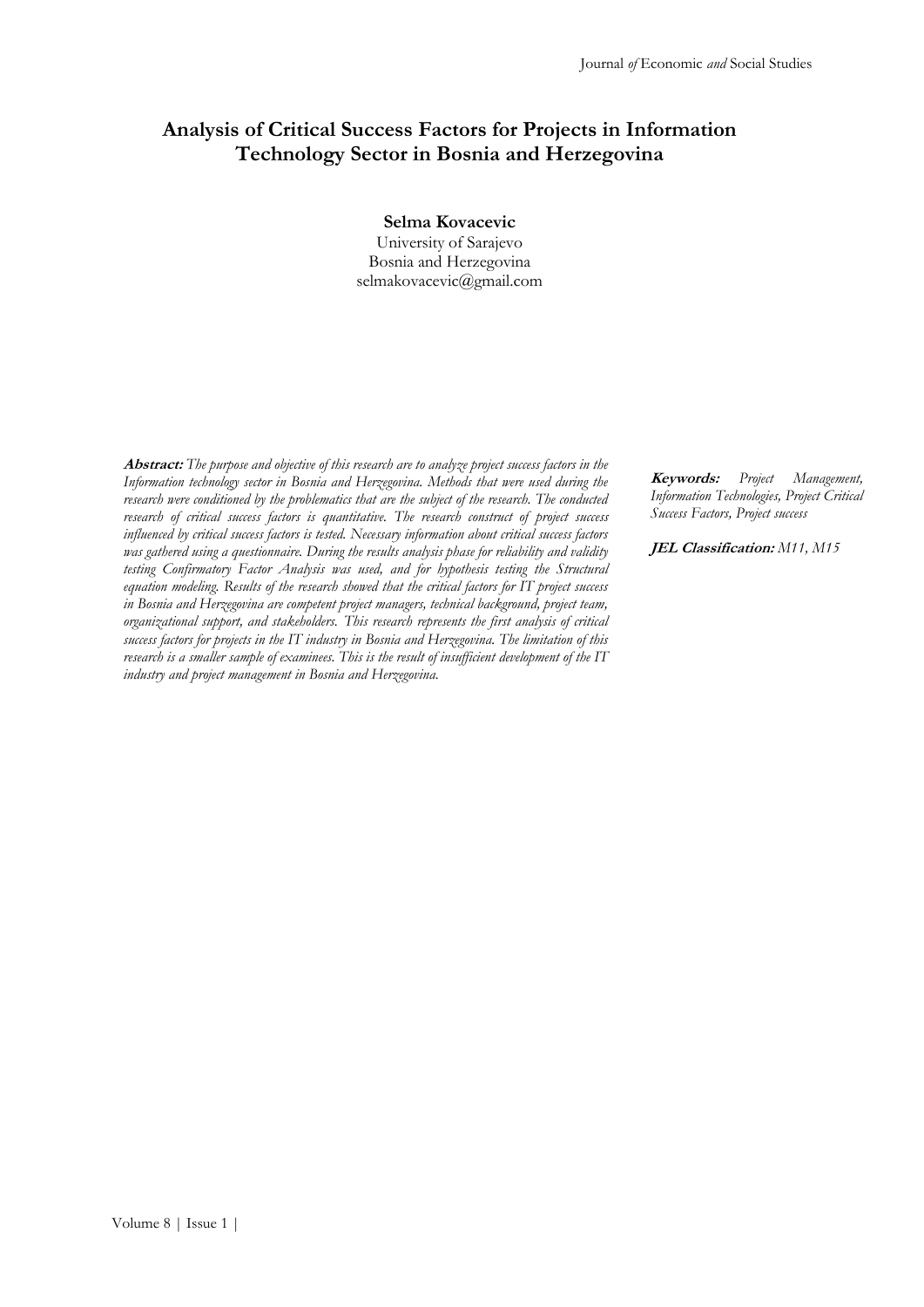# **Analysis of Critical Success Factors for Projects in Information Technology Sector in Bosnia and Herzegovina**

#### **Selma Kovacevic**

University of Sarajevo Bosnia and Herzegovina selmakovacevic@gmail.com

**Abstract:** *The purpose and objective of this research are to analyze project success factors in the Information technology sector in Bosnia and Herzegovina. Methods that were used during the research were conditioned by the problematics that are the subject of the research. The conducted research of critical success factors is quantitative. The research construct of project success influenced by critical success factors is tested. Necessary information about critical success factors was gathered using a questionnaire. During the results analysis phase for reliability and validity testing Confirmatory Factor Analysis was used, and for hypothesis testing the Structural equation modeling. Results of the research showed that the critical factors for IT project success in Bosnia and Herzegovina are competent project managers, technical background, project team, organizational support, and stakeholders. This research represents the first analysis of critical success factors for projects in the IT industry in Bosnia and Herzegovina. The limitation of this research is a smaller sample of examinees. This is the result of insufficient development of the IT industry and project management in Bosnia and Herzegovina.*

**Keywords:** *Project Management, Information Technologies, Project Critical Success Factors, Project success*

**JEL Classification:** *M11, M15*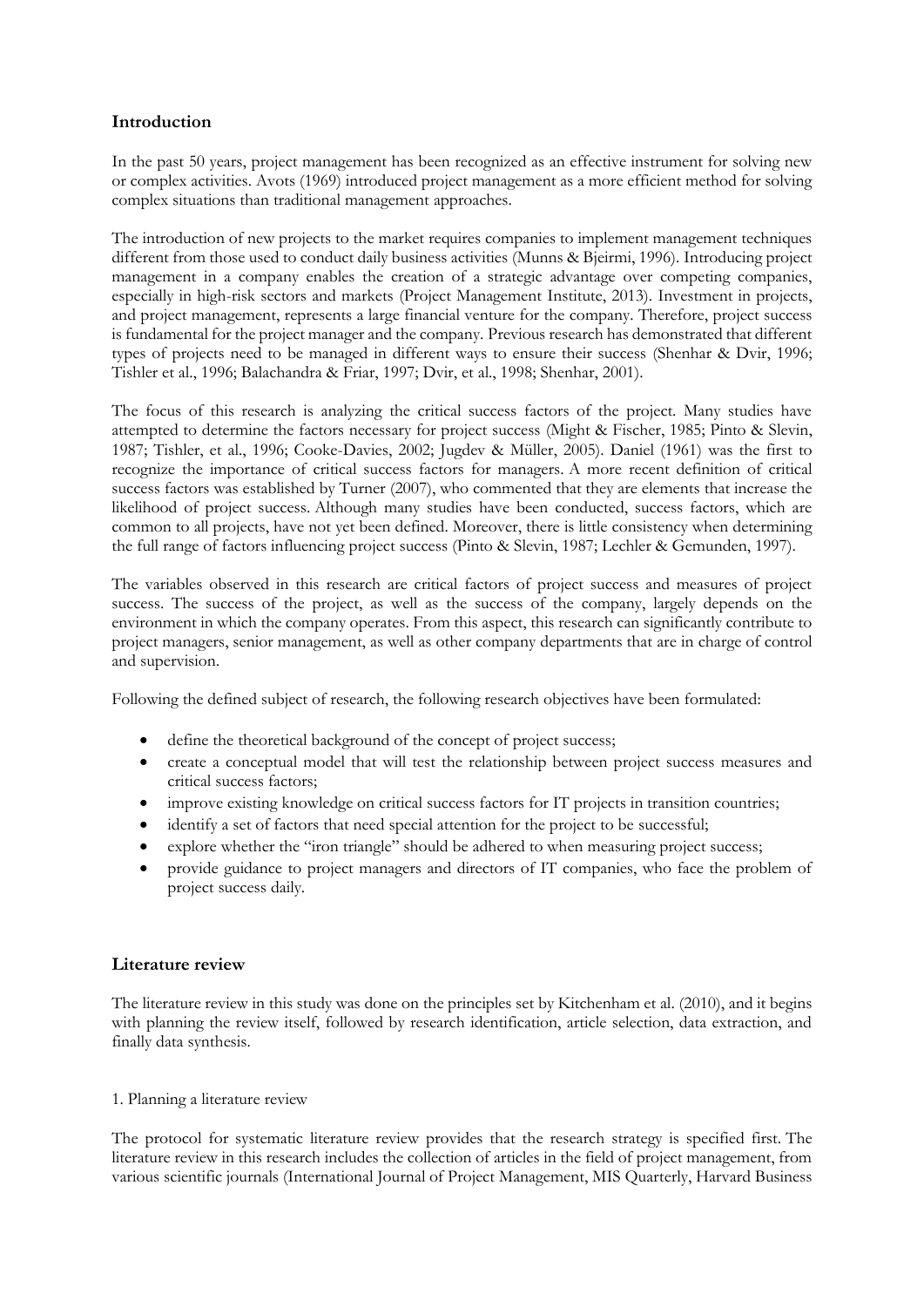# **Introduction**

In the past 50 years, project management has been recognized as an effective instrument for solving new or complex activities. Avots (1969) introduced project management as a more efficient method for solving complex situations than traditional management approaches.

The introduction of new projects to the market requires companies to implement management techniques different from those used to conduct daily business activities (Munns & Bjeirmi, 1996). Introducing project management in a company enables the creation of a strategic advantage over competing companies, especially in high-risk sectors and markets (Project Management Institute, 2013). Investment in projects, and project management, represents a large financial venture for the company. Therefore, project success is fundamental for the project manager and the company. Previous research has demonstrated that different types of projects need to be managed in different ways to ensure their success (Shenhar & Dvir, 1996; Tishler et al., 1996; Balachandra & Friar, 1997; Dvir, et al., 1998; Shenhar, 2001).

The focus of this research is analyzing the critical success factors of the project. Many studies have attempted to determine the factors necessary for project success (Might & Fischer, 1985; Pinto & Slevin, 1987; Tishler, et al., 1996; Cooke-Davies, 2002; Jugdev & Müller, 2005). Daniel (1961) was the first to recognize the importance of critical success factors for managers. A more recent definition of critical success factors was established by Turner (2007), who commented that they are elements that increase the likelihood of project success. Although many studies have been conducted, success factors, which are common to all projects, have not yet been defined. Moreover, there is little consistency when determining the full range of factors influencing project success (Pinto & Slevin, 1987; Lechler & Gemunden, 1997).

The variables observed in this research are critical factors of project success and measures of project success. The success of the project, as well as the success of the company, largely depends on the environment in which the company operates. From this aspect, this research can significantly contribute to project managers, senior management, as well as other company departments that are in charge of control and supervision.

Following the defined subject of research, the following research objectives have been formulated:

- define the theoretical background of the concept of project success;
- create a conceptual model that will test the relationship between project success measures and critical success factors;
- improve existing knowledge on critical success factors for IT projects in transition countries;
- identify a set of factors that need special attention for the project to be successful;
- explore whether the "iron triangle" should be adhered to when measuring project success;
- provide guidance to project managers and directors of IT companies, who face the problem of project success daily.

# **Literature review**

The literature review in this study was done on the principles set by Kitchenham et al. (2010), and it begins with planning the review itself, followed by research identification, article selection, data extraction, and finally data synthesis.

### 1. Planning a literature review

The protocol for systematic literature review provides that the research strategy is specified first. The literature review in this research includes the collection of articles in the field of project management, from various scientific journals (International Journal of Project Management, MIS Quarterly, Harvard Business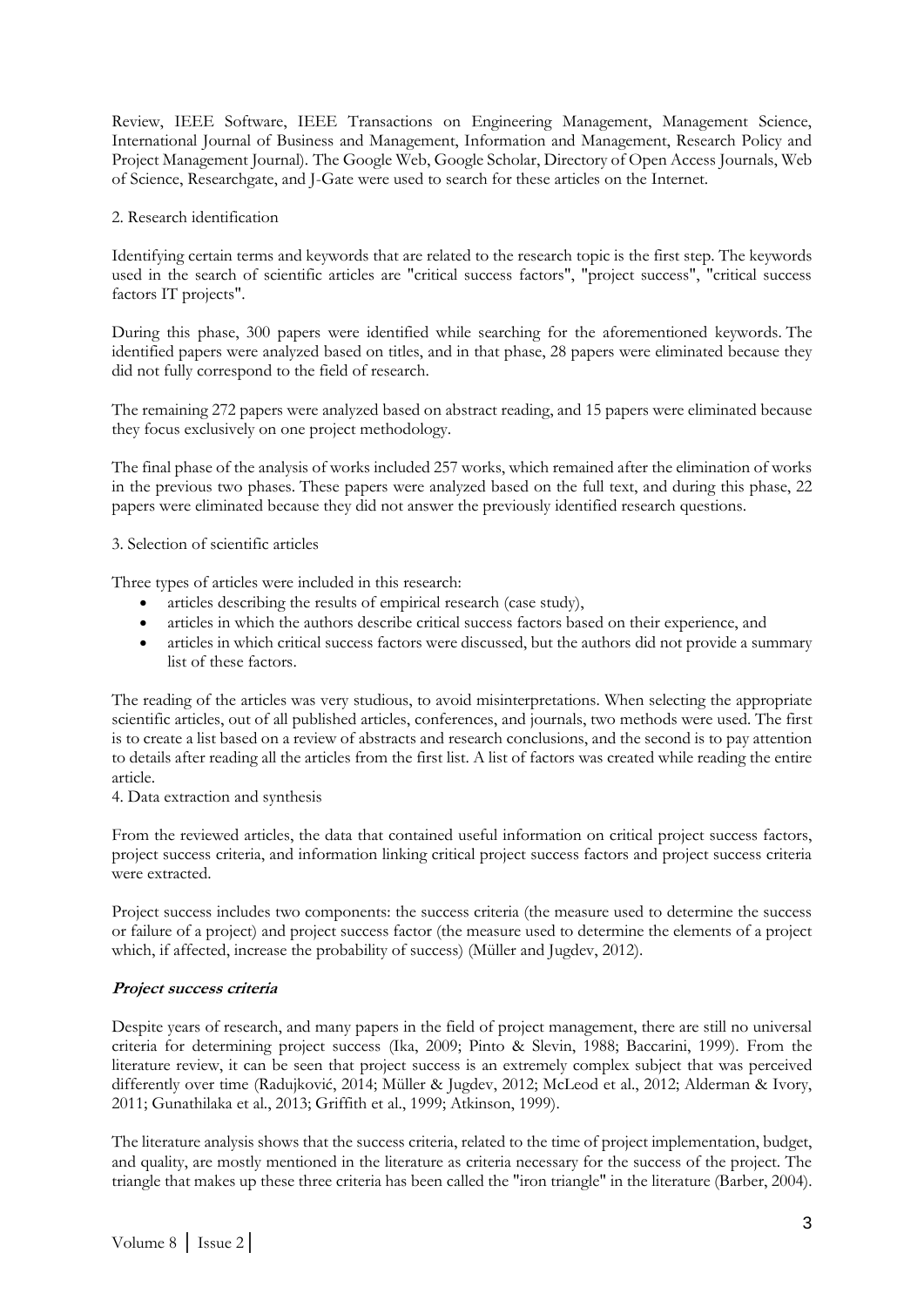Review, IEEE Software, IEEE Transactions on Engineering Management, Management Science, International Journal of Business and Management, Information and Management, Research Policy and Project Management Journal). The Google Web, Google Scholar, Directory of Open Access Journals, Web of Science, Researchgate, and J-Gate were used to search for these articles on the Internet.

### 2. Research identification

Identifying certain terms and keywords that are related to the research topic is the first step. The keywords used in the search of scientific articles are "critical success factors", "project success", "critical success factors IT projects".

During this phase, 300 papers were identified while searching for the aforementioned keywords. The identified papers were analyzed based on titles, and in that phase, 28 papers were eliminated because they did not fully correspond to the field of research.

The remaining 272 papers were analyzed based on abstract reading, and 15 papers were eliminated because they focus exclusively on one project methodology.

The final phase of the analysis of works included 257 works, which remained after the elimination of works in the previous two phases. These papers were analyzed based on the full text, and during this phase, 22 papers were eliminated because they did not answer the previously identified research questions.

#### 3. Selection of scientific articles

Three types of articles were included in this research:

- articles describing the results of empirical research (case study),
- articles in which the authors describe critical success factors based on their experience, and
- articles in which critical success factors were discussed, but the authors did not provide a summary list of these factors.

The reading of the articles was very studious, to avoid misinterpretations. When selecting the appropriate scientific articles, out of all published articles, conferences, and journals, two methods were used. The first is to create a list based on a review of abstracts and research conclusions, and the second is to pay attention to details after reading all the articles from the first list. A list of factors was created while reading the entire article.

4. Data extraction and synthesis

From the reviewed articles, the data that contained useful information on critical project success factors, project success criteria, and information linking critical project success factors and project success criteria were extracted.

Project success includes two components: the success criteria (the measure used to determine the success or failure of a project) and project success factor (the measure used to determine the elements of a project which, if affected, increase the probability of success) (Müller and Jugdev, 2012).

### **Project success criteria**

Despite years of research, and many papers in the field of project management, there are still no universal criteria for determining project success (Ika, 2009; Pinto & Slevin, 1988; Baccarini, 1999). From the literature review, it can be seen that project success is an extremely complex subject that was perceived differently over time (Radujković, 2014; Müller & Jugdev, 2012; McLeod et al., 2012; Alderman & Ivory, 2011; Gunathilaka et al., 2013; Griffith et al., 1999; Atkinson, 1999).

The literature analysis shows that the success criteria, related to the time of project implementation, budget, and quality, are mostly mentioned in the literature as criteria necessary for the success of the project. The triangle that makes up these three criteria has been called the "iron triangle" in the literature (Barber, 2004).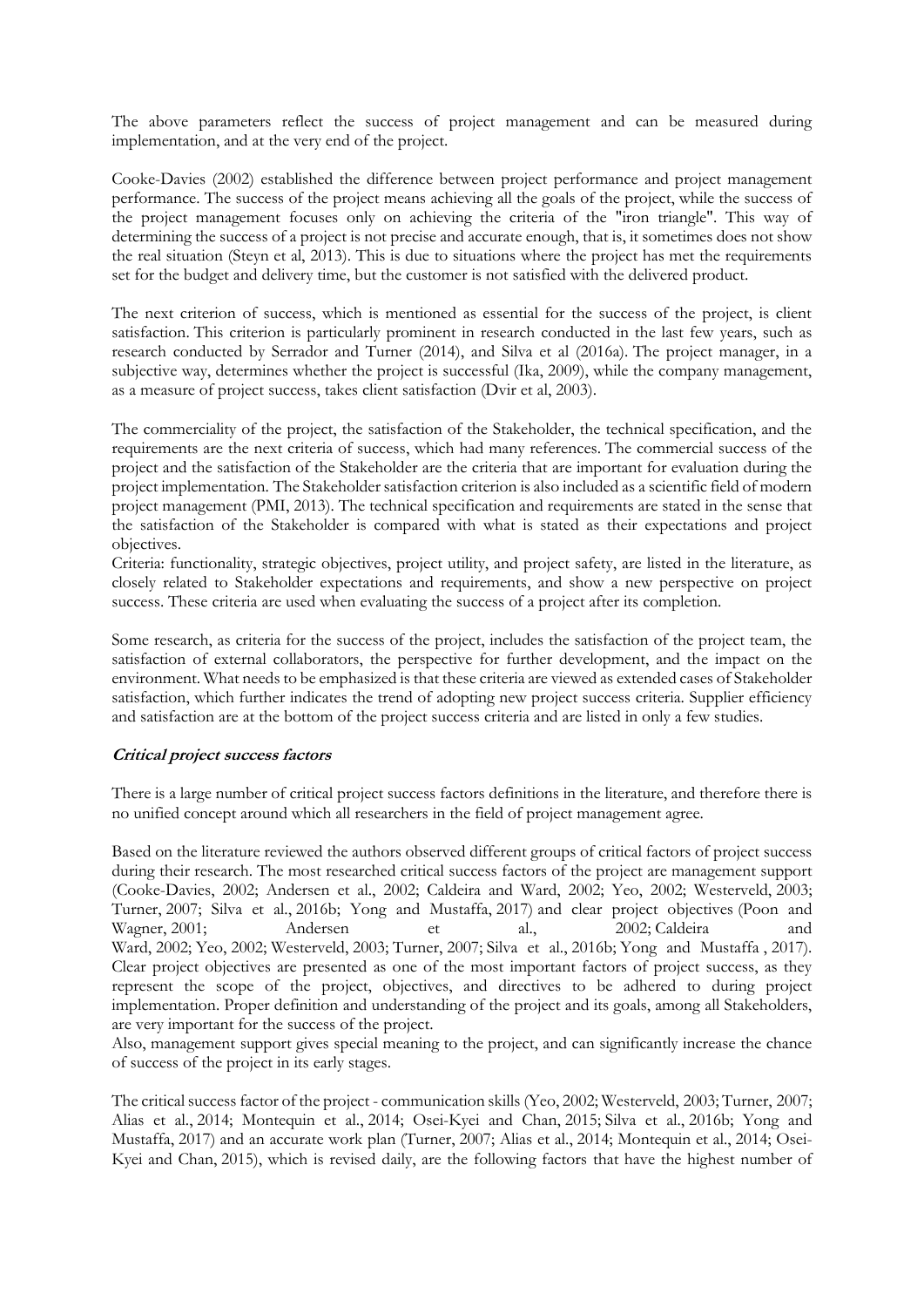The above parameters reflect the success of project management and can be measured during implementation, and at the very end of the project.

Cooke-Davies (2002) established the difference between project performance and project management performance. The success of the project means achieving all the goals of the project, while the success of the project management focuses only on achieving the criteria of the "iron triangle". This way of determining the success of a project is not precise and accurate enough, that is, it sometimes does not show the real situation (Steyn et al, 2013). This is due to situations where the project has met the requirements set for the budget and delivery time, but the customer is not satisfied with the delivered product.

The next criterion of success, which is mentioned as essential for the success of the project, is client satisfaction. This criterion is particularly prominent in research conducted in the last few years, such as research conducted by Serrador and Turner (2014), and Silva et al (2016a). The project manager, in a subjective way, determines whether the project is successful (Ika, 2009), while the company management, as a measure of project success, takes client satisfaction (Dvir et al, 2003).

The commerciality of the project, the satisfaction of the Stakeholder, the technical specification, and the requirements are the next criteria of success, which had many references. The commercial success of the project and the satisfaction of the Stakeholder are the criteria that are important for evaluation during the project implementation. The Stakeholder satisfaction criterion is also included as a scientific field of modern project management (PMI, 2013). The technical specification and requirements are stated in the sense that the satisfaction of the Stakeholder is compared with what is stated as their expectations and project objectives.

Criteria: functionality, strategic objectives, project utility, and project safety, are listed in the literature, as closely related to Stakeholder expectations and requirements, and show a new perspective on project success. These criteria are used when evaluating the success of a project after its completion.

Some research, as criteria for the success of the project, includes the satisfaction of the project team, the satisfaction of external collaborators, the perspective for further development, and the impact on the environment. What needs to be emphasized is that these criteria are viewed as extended cases of Stakeholder satisfaction, which further indicates the trend of adopting new project success criteria. Supplier efficiency and satisfaction are at the bottom of the project success criteria and are listed in only a few studies.

### **Critical project success factors**

There is a large number of critical project success factors definitions in the literature, and therefore there is no unified concept around which all researchers in the field of project management agree.

Based on the literature reviewed the authors observed different groups of critical factors of project success during their research. The most researched critical success factors of the project are management support (Cooke-Davies, 2002; Andersen et al., 2002; Caldeira and Ward, 2002; Yeo, 2002; Westerveld, 2003; Turner, 2007; Silva et al., 2016b; Yong and Mustaffa, 2017) and clear project objectives (Poon and Wagner, 2001; Andersen et al., 2002; Caldeira Ward, 2002; Yeo, 2002; Westerveld, 2003; Turner, 2007; Silva et al., 2016b; Yong and Mustaffa , 2017). Clear project objectives are presented as one of the most important factors of project success, as they represent the scope of the project, objectives, and directives to be adhered to during project implementation. Proper definition and understanding of the project and its goals, among all Stakeholders, are very important for the success of the project.

Also, management support gives special meaning to the project, and can significantly increase the chance of success of the project in its early stages.

The critical success factor of the project - communication skills (Yeo, 2002; Westerveld, 2003; Turner, 2007; Alias et al., 2014; Montequin et al., 2014; Osei-Kyei and Chan, 2015; Silva et al., 2016b; Yong and Mustaffa, 2017) and an accurate work plan (Turner, 2007; Alias et al., 2014; Montequin et al., 2014; Osei-Kyei and Chan, 2015), which is revised daily, are the following factors that have the highest number of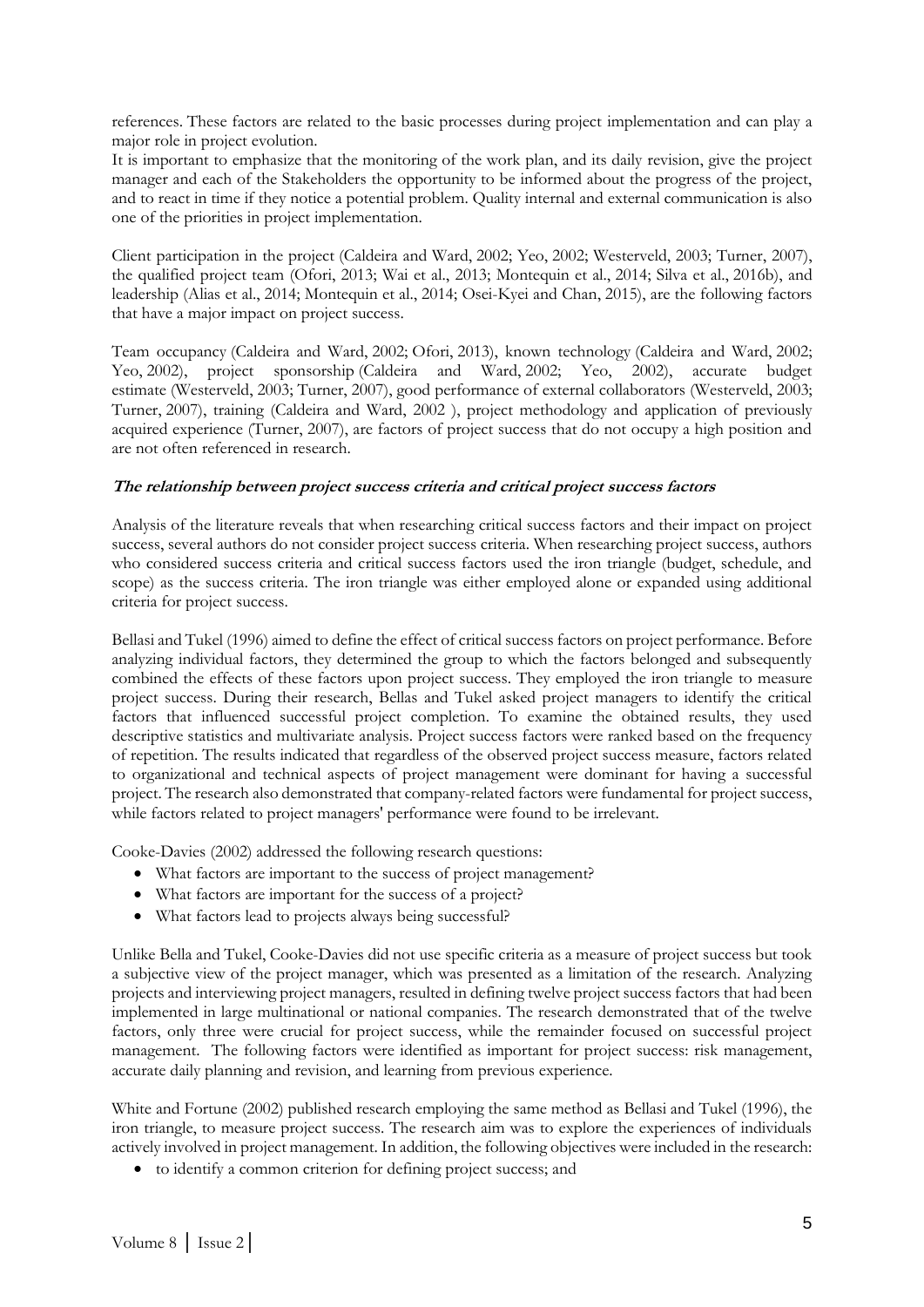references. These factors are related to the basic processes during project implementation and can play a major role in project evolution.

It is important to emphasize that the monitoring of the work plan, and its daily revision, give the project manager and each of the Stakeholders the opportunity to be informed about the progress of the project, and to react in time if they notice a potential problem. Quality internal and external communication is also one of the priorities in project implementation.

Client participation in the project (Caldeira and Ward, 2002; Yeo, 2002; Westerveld, 2003; Turner, 2007), the qualified project team (Ofori, 2013; Wai et al., 2013; Montequin et al., 2014; Silva et al., 2016b), and leadership (Alias et al., 2014; Montequin et al., 2014; Osei-Kyei and Chan, 2015), are the following factors that have a major impact on project success.

Team occupancy (Caldeira and Ward, 2002; Ofori, 2013), known technology (Caldeira and Ward, 2002; Yeo, 2002), project sponsorship (Caldeira and Ward, 2002; Yeo, 2002), accurate budget estimate (Westerveld, 2003; Turner, 2007), good performance of external collaborators (Westerveld, 2003; Turner, 2007), training (Caldeira and Ward, 2002 ), project methodology and application of previously acquired experience (Turner, 2007), are factors of project success that do not occupy a high position and are not often referenced in research.

### **The relationship between project success criteria and critical project success factors**

Analysis of the literature reveals that when researching critical success factors and their impact on project success, several authors do not consider project success criteria. When researching project success, authors who considered success criteria and critical success factors used the iron triangle (budget, schedule, and scope) as the success criteria. The iron triangle was either employed alone or expanded using additional criteria for project success.

Bellasi and Tukel (1996) aimed to define the effect of critical success factors on project performance. Before analyzing individual factors, they determined the group to which the factors belonged and subsequently combined the effects of these factors upon project success. They employed the iron triangle to measure project success. During their research, Bellas and Tukel asked project managers to identify the critical factors that influenced successful project completion. To examine the obtained results, they used descriptive statistics and multivariate analysis. Project success factors were ranked based on the frequency of repetition. The results indicated that regardless of the observed project success measure, factors related to organizational and technical aspects of project management were dominant for having a successful project. The research also demonstrated that company-related factors were fundamental for project success, while factors related to project managers' performance were found to be irrelevant.

Cooke-Davies (2002) addressed the following research questions:

- What factors are important to the success of project management?
- What factors are important for the success of a project?
- What factors lead to projects always being successful?

Unlike Bella and Tukel, Cooke-Davies did not use specific criteria as a measure of project success but took a subjective view of the project manager, which was presented as a limitation of the research. Analyzing projects and interviewing project managers, resulted in defining twelve project success factors that had been implemented in large multinational or national companies. The research demonstrated that of the twelve factors, only three were crucial for project success, while the remainder focused on successful project management. The following factors were identified as important for project success: risk management, accurate daily planning and revision, and learning from previous experience.

White and Fortune (2002) published research employing the same method as Bellasi and Tukel (1996), the iron triangle, to measure project success. The research aim was to explore the experiences of individuals actively involved in project management. In addition, the following objectives were included in the research:

• to identify a common criterion for defining project success; and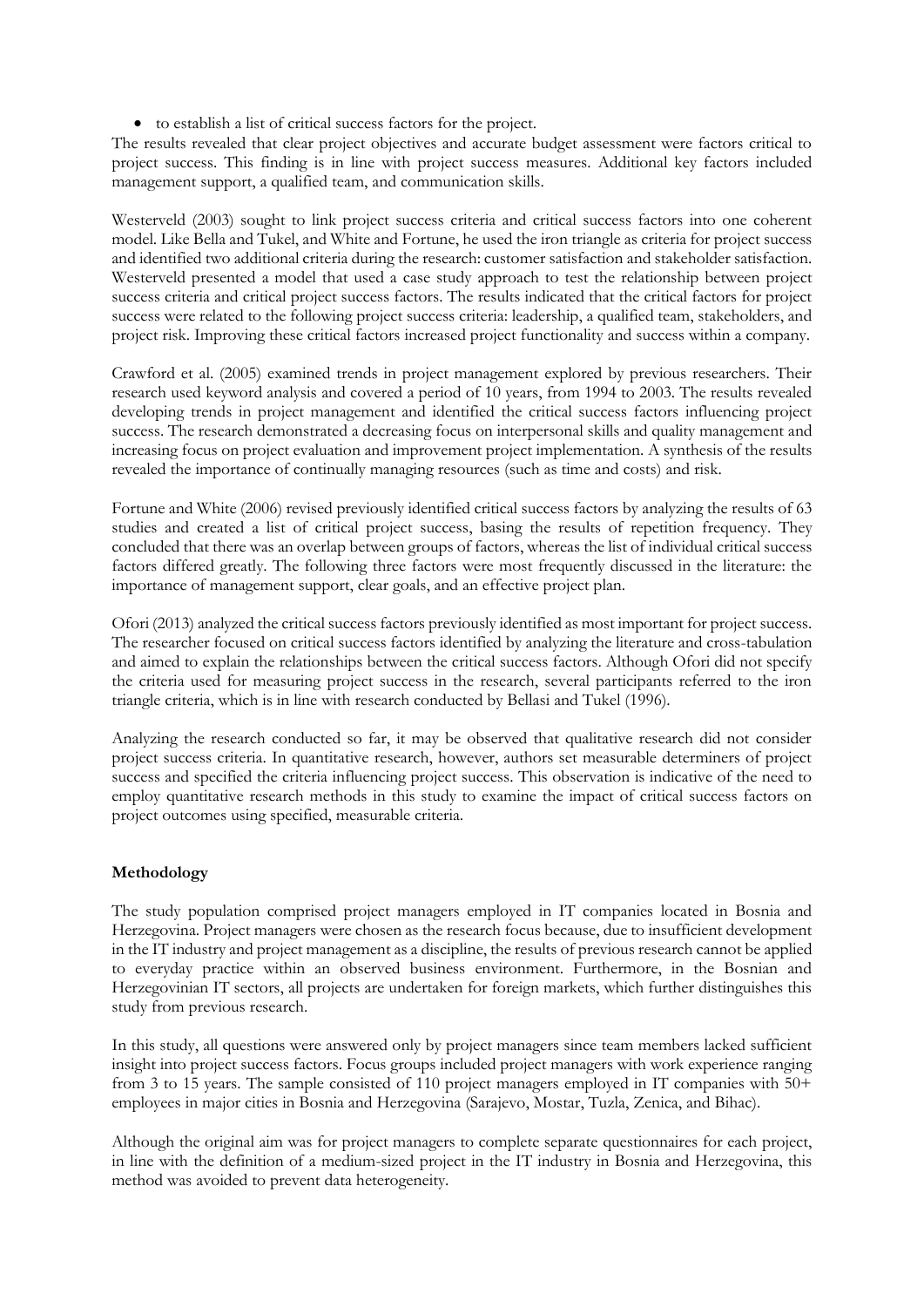• to establish a list of critical success factors for the project.

The results revealed that clear project objectives and accurate budget assessment were factors critical to project success. This finding is in line with project success measures. Additional key factors included management support, a qualified team, and communication skills.

Westerveld (2003) sought to link project success criteria and critical success factors into one coherent model. Like Bella and Tukel, and White and Fortune, he used the iron triangle as criteria for project success and identified two additional criteria during the research: customer satisfaction and stakeholder satisfaction. Westerveld presented a model that used a case study approach to test the relationship between project success criteria and critical project success factors. The results indicated that the critical factors for project success were related to the following project success criteria: leadership, a qualified team, stakeholders, and project risk. Improving these critical factors increased project functionality and success within a company.

Crawford et al. (2005) examined trends in project management explored by previous researchers. Their research used keyword analysis and covered a period of 10 years, from 1994 to 2003. The results revealed developing trends in project management and identified the critical success factors influencing project success. The research demonstrated a decreasing focus on interpersonal skills and quality management and increasing focus on project evaluation and improvement project implementation. A synthesis of the results revealed the importance of continually managing resources (such as time and costs) and risk.

Fortune and White (2006) revised previously identified critical success factors by analyzing the results of 63 studies and created a list of critical project success, basing the results of repetition frequency. They concluded that there was an overlap between groups of factors, whereas the list of individual critical success factors differed greatly. The following three factors were most frequently discussed in the literature: the importance of management support, clear goals, and an effective project plan.

Ofori (2013) analyzed the critical success factors previously identified as most important for project success. The researcher focused on critical success factors identified by analyzing the literature and cross-tabulation and aimed to explain the relationships between the critical success factors. Although Ofori did not specify the criteria used for measuring project success in the research, several participants referred to the iron triangle criteria, which is in line with research conducted by Bellasi and Tukel (1996).

Analyzing the research conducted so far, it may be observed that qualitative research did not consider project success criteria. In quantitative research, however, authors set measurable determiners of project success and specified the criteria influencing project success. This observation is indicative of the need to employ quantitative research methods in this study to examine the impact of critical success factors on project outcomes using specified, measurable criteria.

# **Methodology**

The study population comprised project managers employed in IT companies located in Bosnia and Herzegovina. Project managers were chosen as the research focus because, due to insufficient development in the IT industry and project management as a discipline, the results of previous research cannot be applied to everyday practice within an observed business environment. Furthermore, in the Bosnian and Herzegovinian IT sectors, all projects are undertaken for foreign markets, which further distinguishes this study from previous research.

In this study, all questions were answered only by project managers since team members lacked sufficient insight into project success factors. Focus groups included project managers with work experience ranging from 3 to 15 years. The sample consisted of 110 project managers employed in IT companies with 50+ employees in major cities in Bosnia and Herzegovina (Sarajevo, Mostar, Tuzla, Zenica, and Bihac).

Although the original aim was for project managers to complete separate questionnaires for each project, in line with the definition of a medium-sized project in the IT industry in Bosnia and Herzegovina, this method was avoided to prevent data heterogeneity.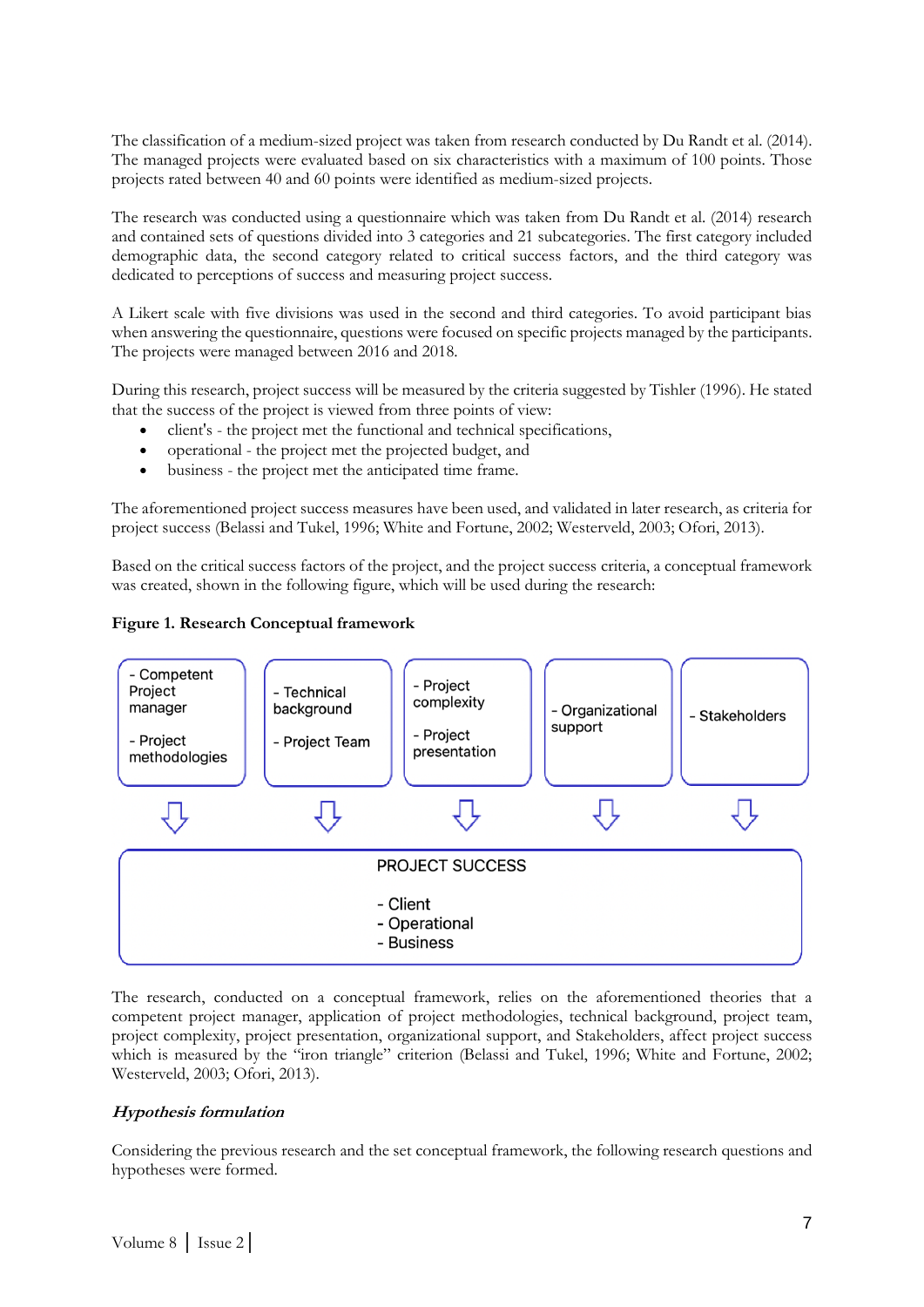The classification of a medium-sized project was taken from research conducted by Du Randt et al. (2014). The managed projects were evaluated based on six characteristics with a maximum of 100 points. Those projects rated between 40 and 60 points were identified as medium-sized projects.

The research was conducted using a questionnaire which was taken from Du Randt et al. (2014) research and contained sets of questions divided into 3 categories and 21 subcategories. The first category included demographic data, the second category related to critical success factors, and the third category was dedicated to perceptions of success and measuring project success.

A Likert scale with five divisions was used in the second and third categories. To avoid participant bias when answering the questionnaire, questions were focused on specific projects managed by the participants. The projects were managed between 2016 and 2018.

During this research, project success will be measured by the criteria suggested by Tishler (1996). He stated that the success of the project is viewed from three points of view:

- client's the project met the functional and technical specifications,
- operational the project met the projected budget, and
- business the project met the anticipated time frame.

The aforementioned project success measures have been used, and validated in later research, as criteria for project success (Belassi and Tukel, 1996; White and Fortune, 2002; Westerveld, 2003; Ofori, 2013).

Based on the critical success factors of the project, and the project success criteria, a conceptual framework was created, shown in the following figure, which will be used during the research:

### **Figure 1. Research Conceptual framework**



The research, conducted on a conceptual framework, relies on the aforementioned theories that a competent project manager, application of project methodologies, technical background, project team, project complexity, project presentation, organizational support, and Stakeholders, affect project success which is measured by the "iron triangle" criterion (Belassi and Tukel, 1996; White and Fortune, 2002; Westerveld, 2003; Ofori, 2013).

# **Hypothesis formulation**

Considering the previous research and the set conceptual framework, the following research questions and hypotheses were formed.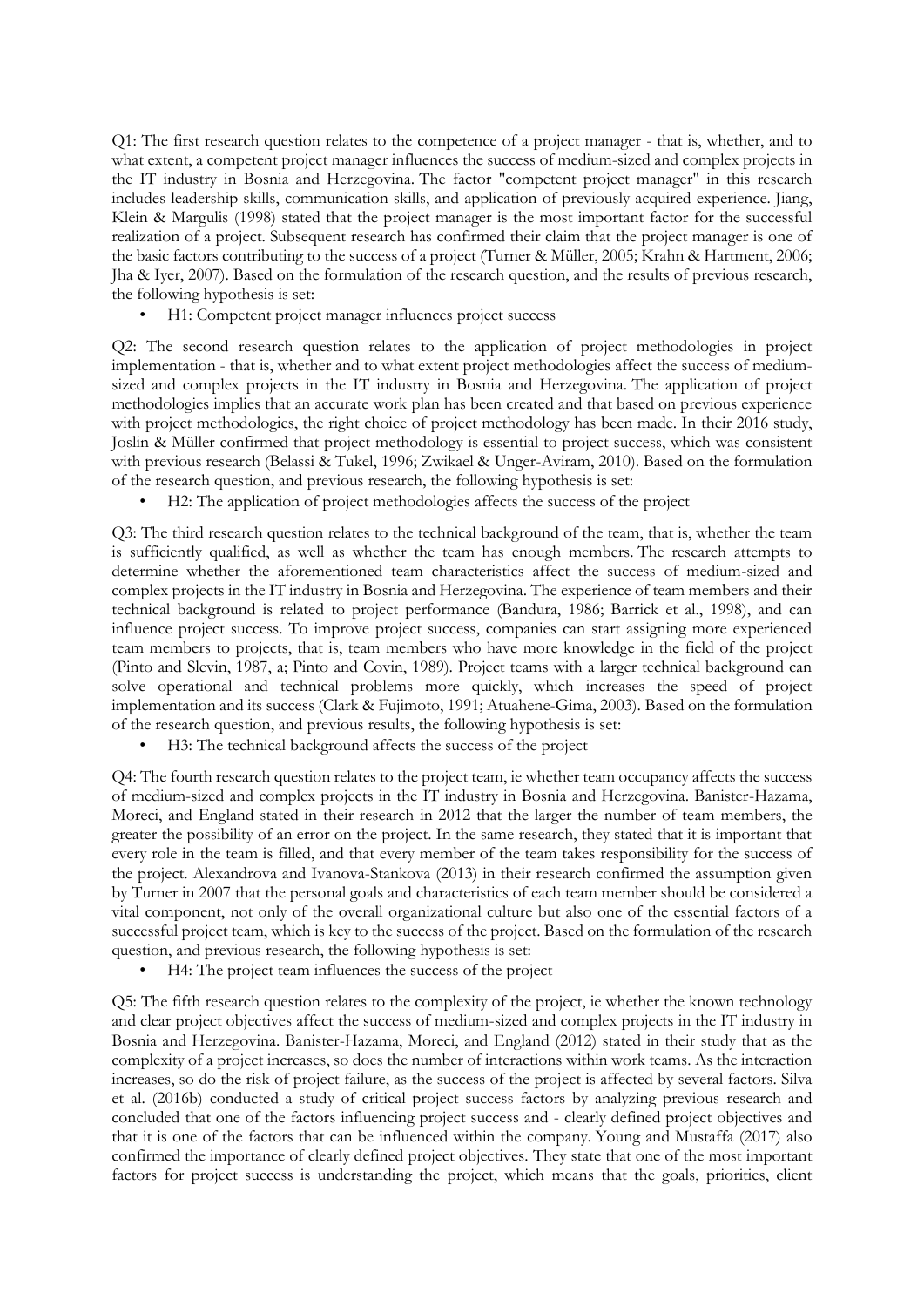Q1: The first research question relates to the competence of a project manager - that is, whether, and to what extent, a competent project manager influences the success of medium-sized and complex projects in the IT industry in Bosnia and Herzegovina. The factor "competent project manager" in this research includes leadership skills, communication skills, and application of previously acquired experience. Jiang, Klein & Margulis (1998) stated that the project manager is the most important factor for the successful realization of a project. Subsequent research has confirmed their claim that the project manager is one of the basic factors contributing to the success of a project (Turner & Müller, 2005; Krahn & Hartment, 2006; Jha & Iyer, 2007). Based on the formulation of the research question, and the results of previous research, the following hypothesis is set:

• H1: Competent project manager influences project success

Q2: The second research question relates to the application of project methodologies in project implementation - that is, whether and to what extent project methodologies affect the success of mediumsized and complex projects in the IT industry in Bosnia and Herzegovina. The application of project methodologies implies that an accurate work plan has been created and that based on previous experience with project methodologies, the right choice of project methodology has been made. In their 2016 study, Joslin & Müller confirmed that project methodology is essential to project success, which was consistent with previous research (Belassi & Tukel, 1996; Zwikael & Unger-Aviram, 2010). Based on the formulation of the research question, and previous research, the following hypothesis is set:

• H2: The application of project methodologies affects the success of the project

Q3: The third research question relates to the technical background of the team, that is, whether the team is sufficiently qualified, as well as whether the team has enough members. The research attempts to determine whether the aforementioned team characteristics affect the success of medium-sized and complex projects in the IT industry in Bosnia and Herzegovina. The experience of team members and their technical background is related to project performance (Bandura, 1986; Barrick et al., 1998), and can influence project success. To improve project success, companies can start assigning more experienced team members to projects, that is, team members who have more knowledge in the field of the project (Pinto and Slevin, 1987, a; Pinto and Covin, 1989). Project teams with a larger technical background can solve operational and technical problems more quickly, which increases the speed of project implementation and its success (Clark & Fujimoto, 1991; Atuahene-Gima, 2003). Based on the formulation of the research question, and previous results, the following hypothesis is set:

• H3: The technical background affects the success of the project

Q4: The fourth research question relates to the project team, ie whether team occupancy affects the success of medium-sized and complex projects in the IT industry in Bosnia and Herzegovina. Banister-Hazama, Moreci, and England stated in their research in 2012 that the larger the number of team members, the greater the possibility of an error on the project. In the same research, they stated that it is important that every role in the team is filled, and that every member of the team takes responsibility for the success of the project. Alexandrova and Ivanova-Stankova (2013) in their research confirmed the assumption given by Turner in 2007 that the personal goals and characteristics of each team member should be considered a vital component, not only of the overall organizational culture but also one of the essential factors of a successful project team, which is key to the success of the project. Based on the formulation of the research question, and previous research, the following hypothesis is set:

• H4: The project team influences the success of the project

Q5: The fifth research question relates to the complexity of the project, ie whether the known technology and clear project objectives affect the success of medium-sized and complex projects in the IT industry in Bosnia and Herzegovina. Banister-Hazama, Moreci, and England (2012) stated in their study that as the complexity of a project increases, so does the number of interactions within work teams. As the interaction increases, so do the risk of project failure, as the success of the project is affected by several factors. Silva et al. (2016b) conducted a study of critical project success factors by analyzing previous research and concluded that one of the factors influencing project success and - clearly defined project objectives and that it is one of the factors that can be influenced within the company. Young and Mustaffa (2017) also confirmed the importance of clearly defined project objectives. They state that one of the most important factors for project success is understanding the project, which means that the goals, priorities, client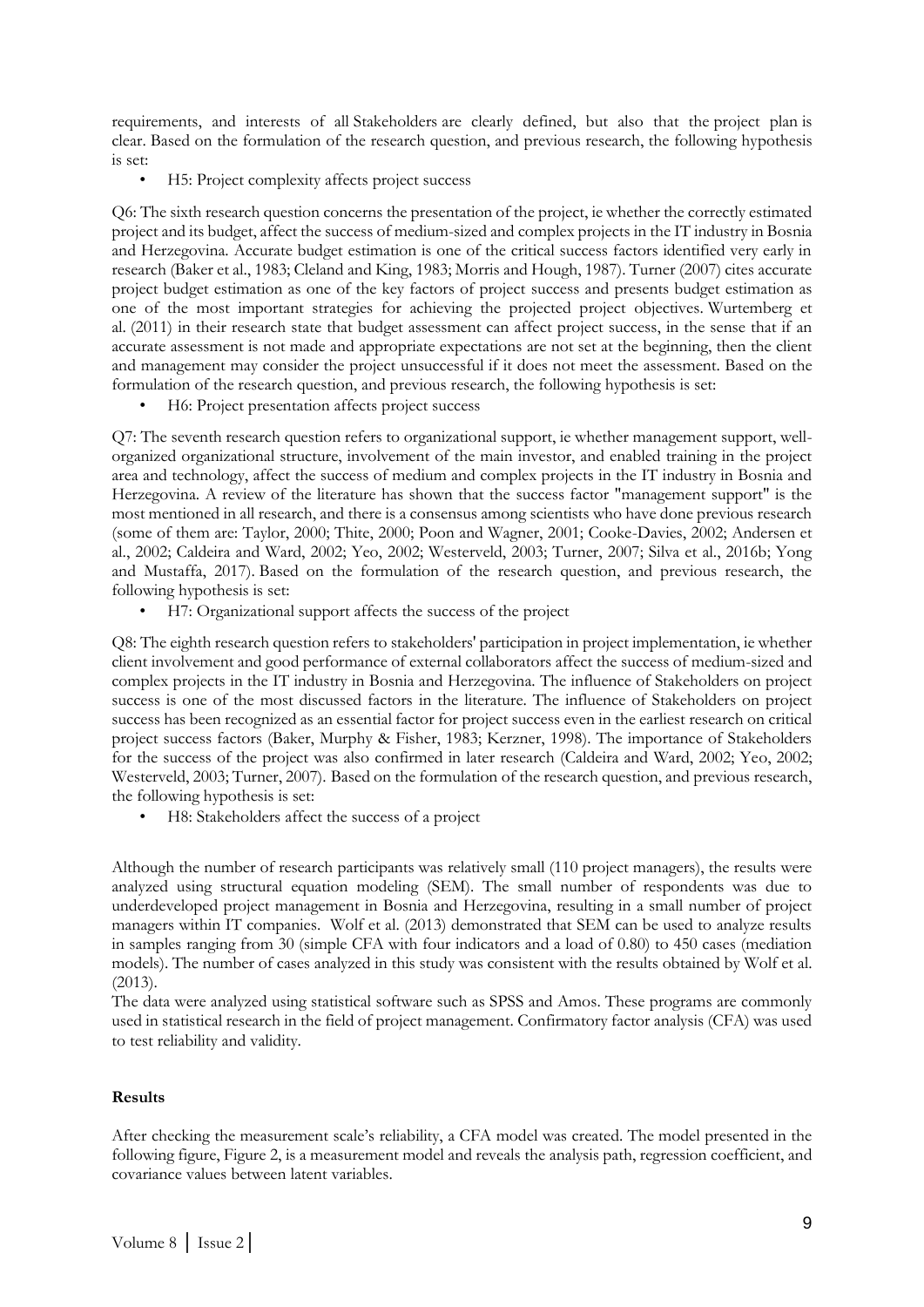requirements, and interests of all Stakeholders are clearly defined, but also that the project plan is clear. Based on the formulation of the research question, and previous research, the following hypothesis is set:

• H5: Project complexity affects project success

Q6: The sixth research question concerns the presentation of the project, ie whether the correctly estimated project and its budget, affect the success of medium-sized and complex projects in the IT industry in Bosnia and Herzegovina. Accurate budget estimation is one of the critical success factors identified very early in research (Baker et al., 1983; Cleland and King, 1983; Morris and Hough, 1987). Turner (2007) cites accurate project budget estimation as one of the key factors of project success and presents budget estimation as one of the most important strategies for achieving the projected project objectives. Wurtemberg et al. (2011) in their research state that budget assessment can affect project success, in the sense that if an accurate assessment is not made and appropriate expectations are not set at the beginning, then the client and management may consider the project unsuccessful if it does not meet the assessment. Based on the formulation of the research question, and previous research, the following hypothesis is set:

• H6: Project presentation affects project success

Q7: The seventh research question refers to organizational support, ie whether management support, wellorganized organizational structure, involvement of the main investor, and enabled training in the project area and technology, affect the success of medium and complex projects in the IT industry in Bosnia and Herzegovina. A review of the literature has shown that the success factor "management support" is the most mentioned in all research, and there is a consensus among scientists who have done previous research (some of them are: Taylor, 2000; Thite, 2000; Poon and Wagner, 2001; Cooke-Davies, 2002; Andersen et al., 2002; Caldeira and Ward, 2002; Yeo, 2002; Westerveld, 2003; Turner, 2007; Silva et al., 2016b; Yong and Mustaffa, 2017). Based on the formulation of the research question, and previous research, the following hypothesis is set:

• H7: Organizational support affects the success of the project

Q8: The eighth research question refers to stakeholders' participation in project implementation, ie whether client involvement and good performance of external collaborators affect the success of medium-sized and complex projects in the IT industry in Bosnia and Herzegovina. The influence of Stakeholders on project success is one of the most discussed factors in the literature. The influence of Stakeholders on project success has been recognized as an essential factor for project success even in the earliest research on critical project success factors (Baker, Murphy & Fisher, 1983; Kerzner, 1998). The importance of Stakeholders for the success of the project was also confirmed in later research (Caldeira and Ward, 2002; Yeo, 2002; Westerveld, 2003; Turner, 2007). Based on the formulation of the research question, and previous research, the following hypothesis is set:

H8: Stakeholders affect the success of a project

Although the number of research participants was relatively small (110 project managers), the results were analyzed using structural equation modeling (SEM). The small number of respondents was due to underdeveloped project management in Bosnia and Herzegovina, resulting in a small number of project managers within IT companies. Wolf et al. (2013) demonstrated that SEM can be used to analyze results in samples ranging from 30 (simple CFA with four indicators and a load of 0.80) to 450 cases (mediation models). The number of cases analyzed in this study was consistent with the results obtained by Wolf et al. (2013).

The data were analyzed using statistical software such as SPSS and Amos. These programs are commonly used in statistical research in the field of project management. Confirmatory factor analysis (CFA) was used to test reliability and validity.

#### **Results**

After checking the measurement scale's reliability, a CFA model was created. The model presented in the following figure, Figure 2, is a measurement model and reveals the analysis path, regression coefficient, and covariance values between latent variables.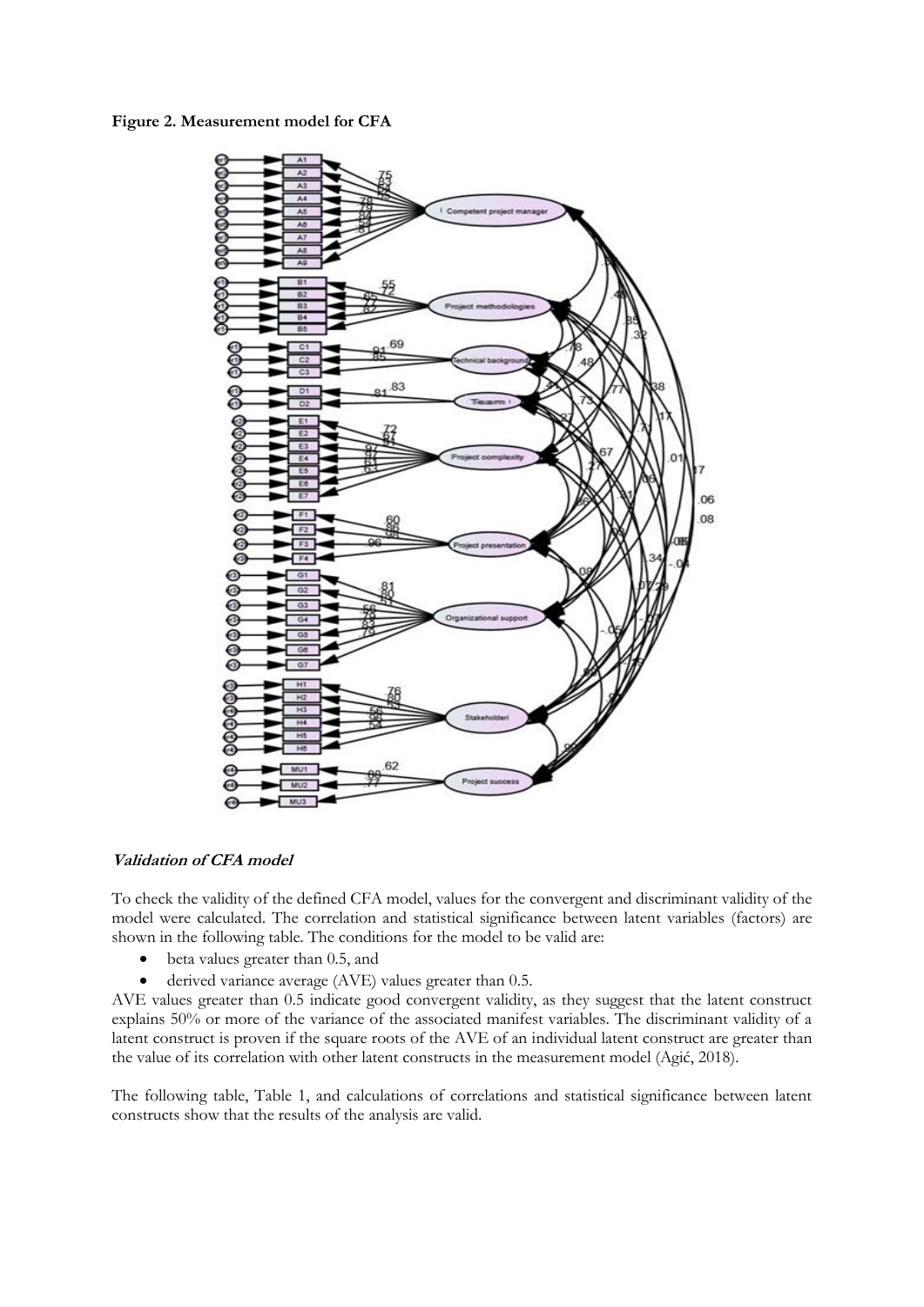**Figure 2. Measurement model for CFA**



# **Validation of CFA model**

To check the validity of the defined CFA model, values for the convergent and discriminant validity of the model were calculated. The correlation and statistical significance between latent variables (factors) are shown in the following table. The conditions for the model to be valid are:

- beta values greater than 0.5, and
- derived variance average (AVE) values greater than 0.5.

AVE values greater than 0.5 indicate good convergent validity, as they suggest that the latent construct explains 50% or more of the variance of the associated manifest variables. The discriminant validity of a latent construct is proven if the square roots of the AVE of an individual latent construct are greater than the value of its correlation with other latent constructs in the measurement model (Agić, 2018).

The following table, Table 1, and calculations of correlations and statistical significance between latent constructs show that the results of the analysis are valid.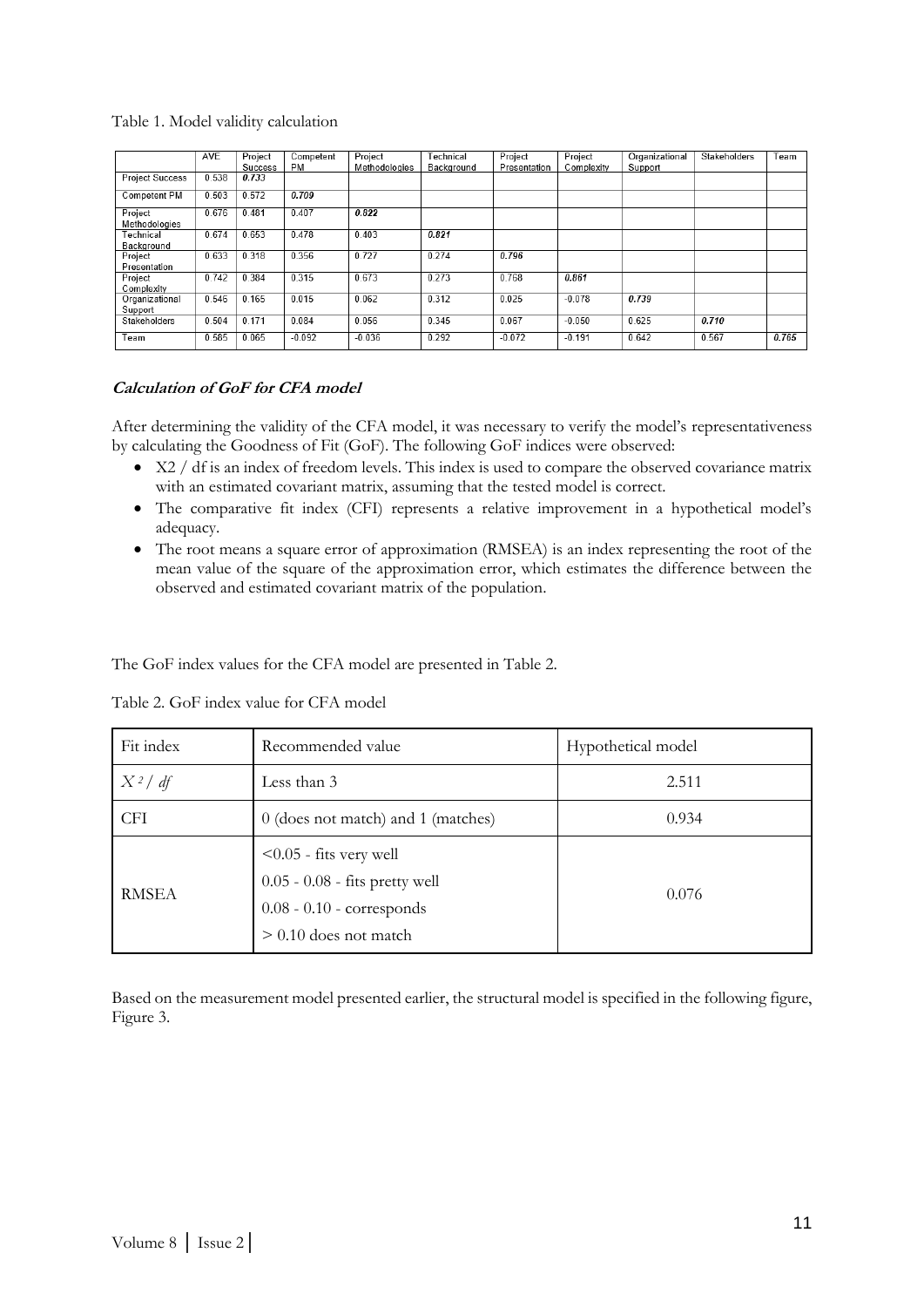### Table 1. Model validity calculation

|                           | AVE   | Project | Competent | Project       | Technical  | Project      | Project    | Organizational | Stakeholders | Team  |
|---------------------------|-------|---------|-----------|---------------|------------|--------------|------------|----------------|--------------|-------|
|                           |       | Success | <b>PM</b> | Methodologies | Background | Presentation | Complexity | Support        |              |       |
| <b>Project Success</b>    | 0.538 | 0.733   |           |               |            |              |            |                |              |       |
| Competent PM              | 0.503 | 0.572   | 0.709     |               |            |              |            |                |              |       |
| Project<br>Methodologies  | 0.676 | 0.481   | 0.407     | 0.822         |            |              |            |                |              |       |
| Technical<br>Background   | 0.674 | 0.653   | 0.478     | 0.403         | 0.821      |              |            |                |              |       |
| Project<br>Presentation   | 0.633 | 0.318   | 0.356     | 0.727         | 0.274      | 0.796        |            |                |              |       |
| Project<br>Complexity     | 0.742 | 0.384   | 0.315     | 0.673         | 0.273      | 0.768        | 0.861      |                |              |       |
| Organizational<br>Support | 0.546 | 0.165   | 0.015     | 0.062         | 0.312      | 0.025        | $-0.078$   | 0.739          |              |       |
| Stakeholders              | 0.504 | 0.171   | 0.084     | 0.056         | 0.345      | 0.067        | $-0.050$   | 0.625          | 0.710        |       |
| Team                      | 0.585 | 0.065   | $-0.092$  | $-0.036$      | 0.292      | $-0.072$     | $-0.191$   | 0.642          | 0.567        | 0.765 |

### **Calculation of GoF for CFA model**

After determining the validity of the CFA model, it was necessary to verify the model's representativeness by calculating the Goodness of Fit (GoF). The following GoF indices were observed:

- X2 / df is an index of freedom levels. This index is used to compare the observed covariance matrix with an estimated covariant matrix, assuming that the tested model is correct.
- The comparative fit index (CFI) represents a relative improvement in a hypothetical model's adequacy.
- The root means a square error of approximation (RMSEA) is an index representing the root of the mean value of the square of the approximation error, which estimates the difference between the observed and estimated covariant matrix of the population.

The GoF index values for the CFA model are presented in Table 2.

| Fit index    | Recommended value                                                                                                       | Hypothetical model |
|--------------|-------------------------------------------------------------------------------------------------------------------------|--------------------|
| $X^2/df$     | Less than 3                                                                                                             | 2.511              |
| <b>CFI</b>   | 0 (does not match) and 1 (matches)                                                                                      | 0.934              |
| <b>RMSEA</b> | $< 0.05$ - fits very well<br>$0.05 - 0.08$ - fits pretty well<br>$0.08 - 0.10$ - corresponds<br>$> 0.10$ does not match | 0.076              |

Table 2. GoF index value for CFA model

Based on the measurement model presented earlier, the structural model is specified in the following figure, Figure 3.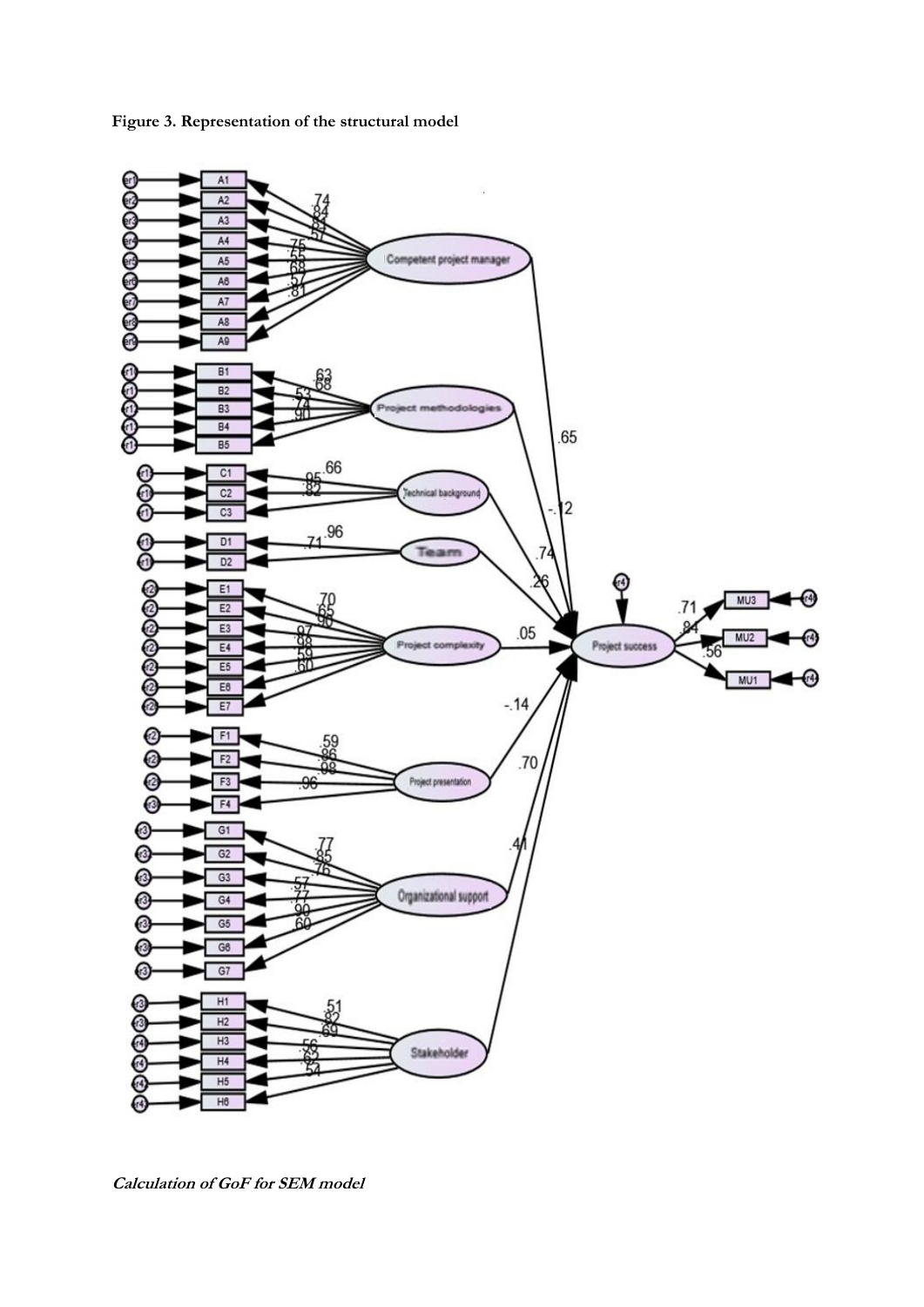

**Figure 3. Representation of the structural model**

**Calculation of GoF for SEM model**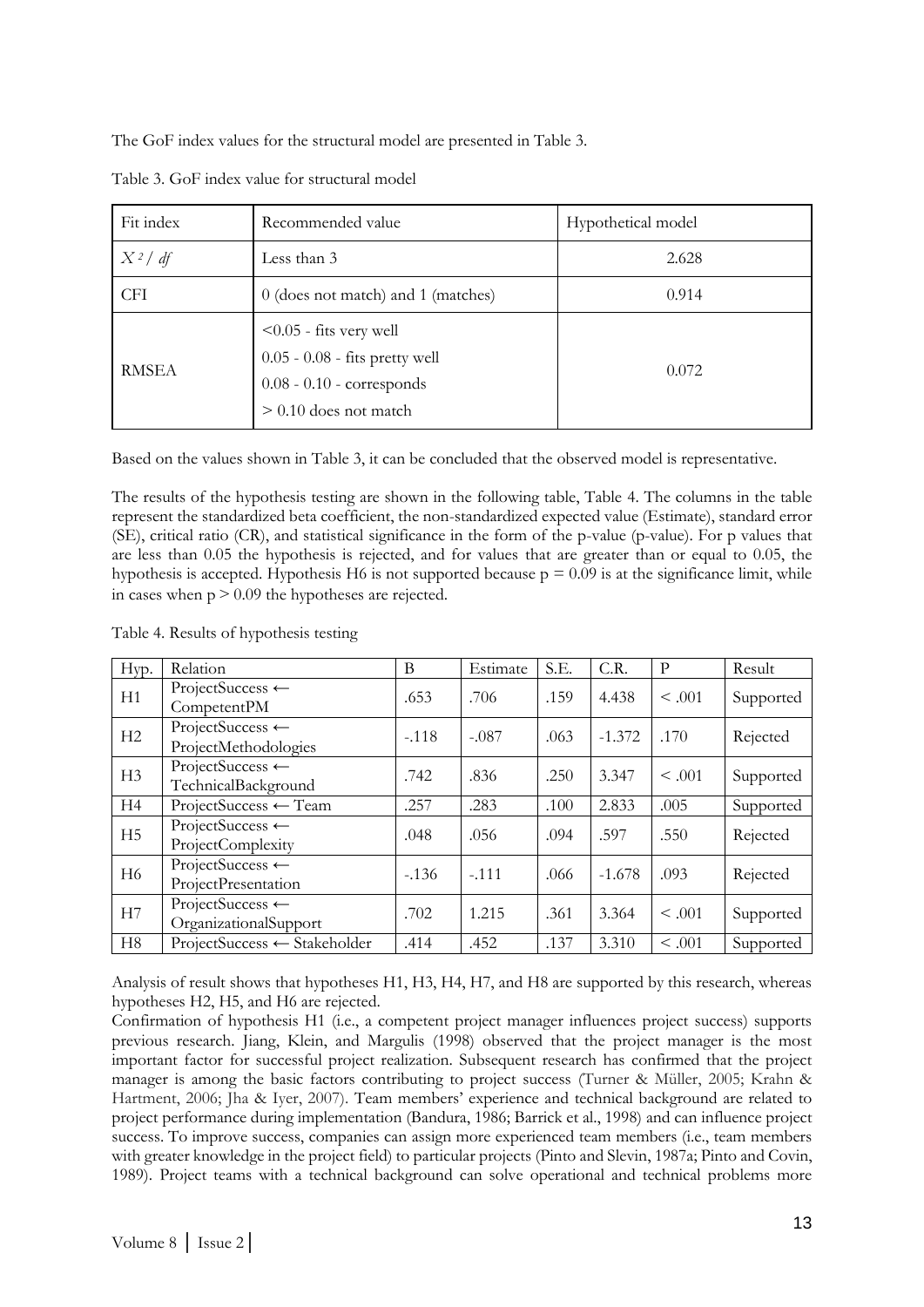The GoF index values for the structural model are presented in Table 3.

| Fit index    | Recommended value                                                                                                        | Hypothetical model |  |  |
|--------------|--------------------------------------------------------------------------------------------------------------------------|--------------------|--|--|
| $X^2/df$     | Less than 3                                                                                                              | 2.628              |  |  |
| <b>CFI</b>   | 0 (does not match) and 1 (matches)                                                                                       | 0.914              |  |  |
| <b>RMSEA</b> | $\leq 0.05$ - fits very well<br>0.05 - 0.08 - fits pretty well<br>$0.08 - 0.10$ - corresponds<br>$> 0.10$ does not match | 0.072              |  |  |

Table 3. GoF index value for structural model

Based on the values shown in Table 3, it can be concluded that the observed model is representative.

The results of the hypothesis testing are shown in the following table, Table 4. The columns in the table represent the standardized beta coefficient, the non-standardized expected value (Estimate), standard error (SE), critical ratio (CR), and statistical significance in the form of the p-value (p-value). For p values that are less than 0.05 the hypothesis is rejected, and for values that are greater than or equal to 0.05, the hypothesis is accepted. Hypothesis H6 is not supported because  $p = 0.09$  is at the significance limit, while in cases when  $p > 0.09$  the hypotheses are rejected.

Table 4. Results of hypothesis testing

| Hyp.           | Relation                                            | B       | Estimate | S.E. | C.R.     | P           | Result    |
|----------------|-----------------------------------------------------|---------|----------|------|----------|-------------|-----------|
| H1             | ProjectSuccess ←<br>CompetentPM                     | .653    | .706     | .159 | 4.438    | $\leq .001$ | Supported |
| H2             | ProjectSuccess $\leftarrow$<br>ProjectMethodologies | $-.118$ | $-.087$  | .063 | $-1.372$ | .170        | Rejected  |
| H3             | ProjectSuccess $\leftarrow$<br>TechnicalBackground  | .742    | .836     | .250 | 3.347    | < 0.01      | Supported |
| H4             | $ProjectSuccess \leftarrow Team$                    | .257    | .283     | .100 | 2.833    | .005        | Supported |
| H <sub>5</sub> | ProjectSuccess ←<br>ProjectComplexity               | .048    | .056     | .094 | .597     | .550        | Rejected  |
| H <sub>6</sub> | ProjectSuccess $\leftarrow$<br>ProjectPresentation  | $-136$  | $-.111$  | .066 | $-1.678$ | .093        | Rejected  |
| H7             | ProjectSuccess ←<br>OrganizationalSupport           | .702    | 1.215    | .361 | 3.364    | $\leq .001$ | Supported |
| H8             | ProjectSuccess ← Stakeholder                        | .414    | .452     | .137 | 3.310    | < .001      | Supported |

Analysis of result shows that hypotheses H1, H3, H4, H7, and H8 are supported by this research, whereas hypotheses H2, H5, and H6 are rejected.

Confirmation of hypothesis H1 (i.e., a competent project manager influences project success) supports previous research. Jiang, Klein, and Margulis (1998) observed that the project manager is the most important factor for successful project realization. Subsequent research has confirmed that the project manager is among the basic factors contributing to project success (Turner & Müller, 2005; Krahn & Hartment, 2006; Jha & Iyer, 2007). Team members' experience and technical background are related to project performance during implementation (Bandura, 1986; Barrick et al., 1998) and can influence project success. To improve success, companies can assign more experienced team members (i.e., team members with greater knowledge in the project field) to particular projects (Pinto and Slevin, 1987a; Pinto and Covin, 1989). Project teams with a technical background can solve operational and technical problems more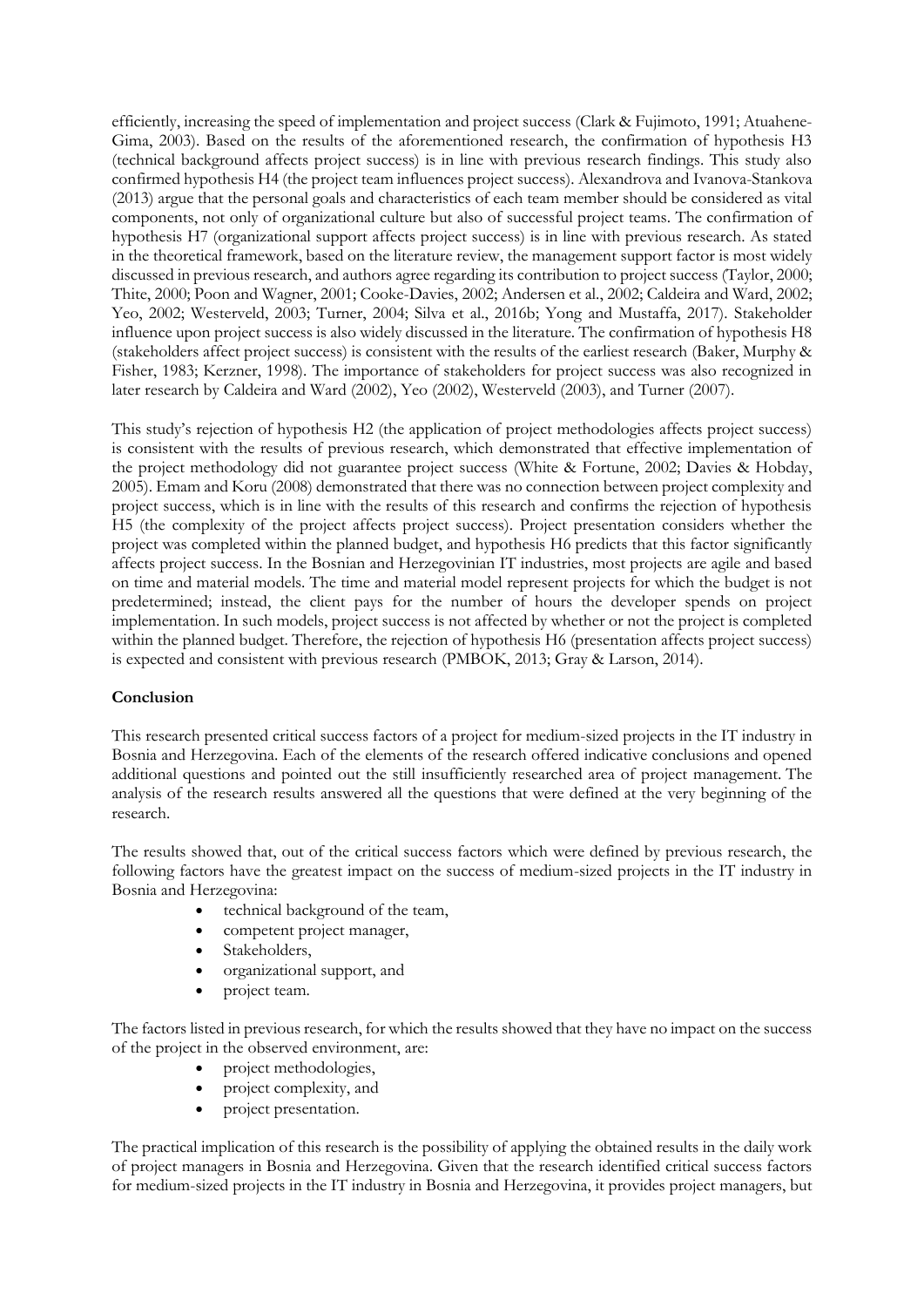efficiently, increasing the speed of implementation and project success (Clark & Fujimoto, 1991; Atuahene-Gima, 2003). Based on the results of the aforementioned research, the confirmation of hypothesis H3 (technical background affects project success) is in line with previous research findings. This study also confirmed hypothesis H4 (the project team influences project success). Alexandrova and Ivanova-Stankova (2013) argue that the personal goals and characteristics of each team member should be considered as vital components, not only of organizational culture but also of successful project teams. The confirmation of hypothesis H7 (organizational support affects project success) is in line with previous research. As stated in the theoretical framework, based on the literature review, the management support factor is most widely discussed in previous research, and authors agree regarding its contribution to project success (Taylor, 2000; Thite, 2000; Poon and Wagner, 2001; Cooke-Davies, 2002; Andersen et al., 2002; Caldeira and Ward, 2002; Yeo, 2002; Westerveld, 2003; Turner, 2004; Silva et al., 2016b; Yong and Mustaffa, 2017). Stakeholder influence upon project success is also widely discussed in the literature. The confirmation of hypothesis H8 (stakeholders affect project success) is consistent with the results of the earliest research (Baker, Murphy & Fisher, 1983; Kerzner, 1998). The importance of stakeholders for project success was also recognized in later research by Caldeira and Ward (2002), Yeo (2002), Westerveld (2003), and Turner (2007).

This study's rejection of hypothesis H2 (the application of project methodologies affects project success) is consistent with the results of previous research, which demonstrated that effective implementation of the project methodology did not guarantee project success (White & Fortune, 2002; Davies & Hobday, 2005). Emam and Koru (2008) demonstrated that there was no connection between project complexity and project success, which is in line with the results of this research and confirms the rejection of hypothesis H5 (the complexity of the project affects project success). Project presentation considers whether the project was completed within the planned budget, and hypothesis H6 predicts that this factor significantly affects project success. In the Bosnian and Herzegovinian IT industries, most projects are agile and based on time and material models. The time and material model represent projects for which the budget is not predetermined; instead, the client pays for the number of hours the developer spends on project implementation. In such models, project success is not affected by whether or not the project is completed within the planned budget. Therefore, the rejection of hypothesis H6 (presentation affects project success) is expected and consistent with previous research (PMBOK, 2013; Gray & Larson, 2014).

### **Conclusion**

This research presented critical success factors of a project for medium-sized projects in the IT industry in Bosnia and Herzegovina. Each of the elements of the research offered indicative conclusions and opened additional questions and pointed out the still insufficiently researched area of project management. The analysis of the research results answered all the questions that were defined at the very beginning of the research.

The results showed that, out of the critical success factors which were defined by previous research, the following factors have the greatest impact on the success of medium-sized projects in the IT industry in Bosnia and Herzegovina:

- technical background of the team,
- competent project manager,
- Stakeholders,
- organizational support, and
- project team.

The factors listed in previous research, for which the results showed that they have no impact on the success of the project in the observed environment, are:

- project methodologies,
- project complexity, and
- project presentation.

The practical implication of this research is the possibility of applying the obtained results in the daily work of project managers in Bosnia and Herzegovina. Given that the research identified critical success factors for medium-sized projects in the IT industry in Bosnia and Herzegovina, it provides project managers, but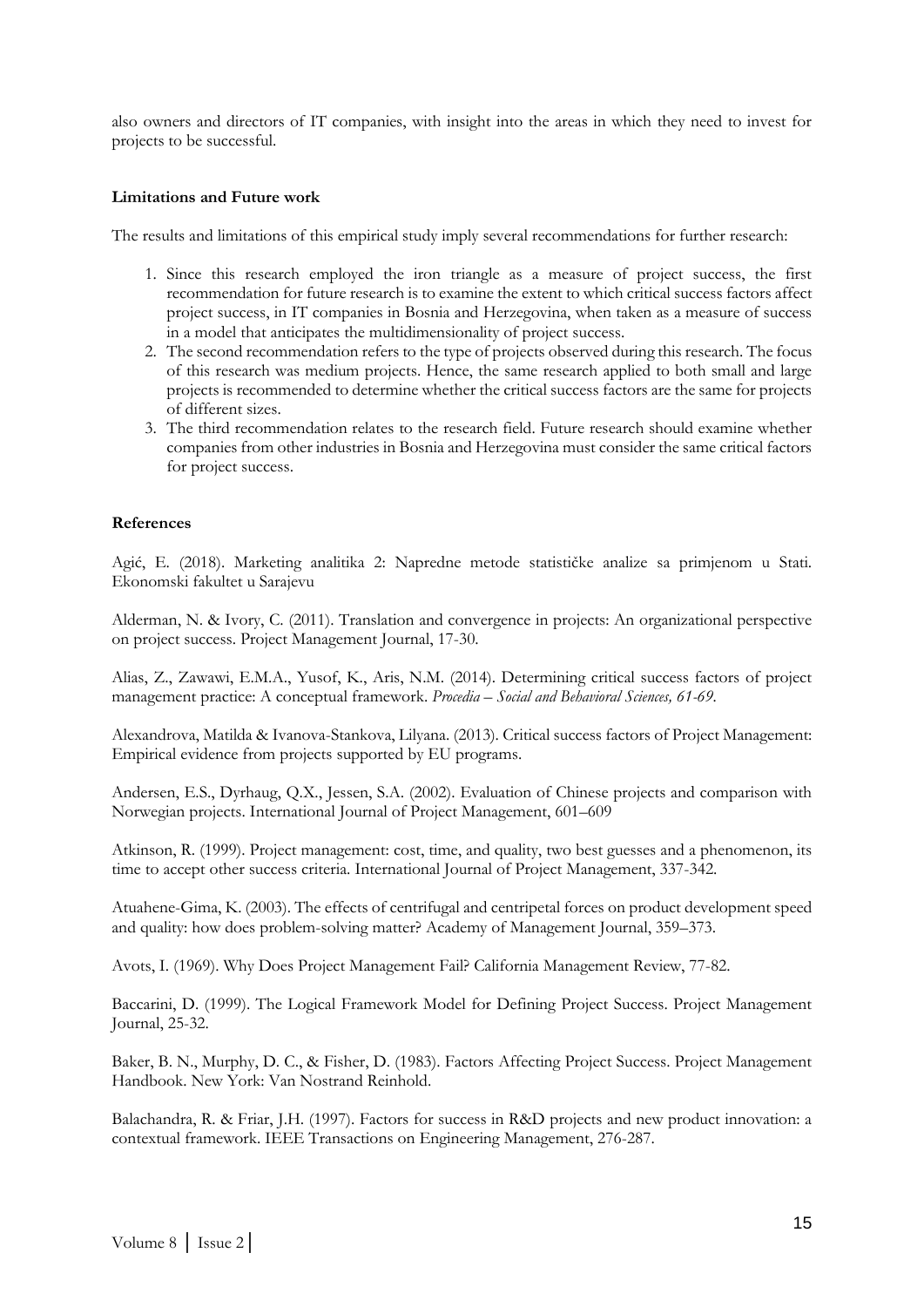also owners and directors of IT companies, with insight into the areas in which they need to invest for projects to be successful.

#### **Limitations and Future work**

The results and limitations of this empirical study imply several recommendations for further research:

- 1. Since this research employed the iron triangle as a measure of project success, the first recommendation for future research is to examine the extent to which critical success factors affect project success, in IT companies in Bosnia and Herzegovina, when taken as a measure of success in a model that anticipates the multidimensionality of project success.
- 2. The second recommendation refers to the type of projects observed during this research. The focus of this research was medium projects. Hence, the same research applied to both small and large projects is recommended to determine whether the critical success factors are the same for projects of different sizes.
- 3. The third recommendation relates to the research field. Future research should examine whether companies from other industries in Bosnia and Herzegovina must consider the same critical factors for project success.

#### **References**

Agić, E. (2018). Marketing analitika 2: Napredne metode statističke analize sa primjenom u Stati. Ekonomski fakultet u Sarajevu

Alderman, N. & Ivory, C. (2011). Translation and convergence in projects: An organizational perspective on project success. Project Management Journal, 17-30.

Alias, Z., Zawawi, E.M.A., Yusof, K., Aris, N.M. (2014). Determining critical success factors of project management practice: A conceptual framework. *Procedia – Social and Behavioral Sciences, 61-69.*

Alexandrova, Matilda & Ivanova-Stankova, Lilyana. (2013). Critical success factors of Project Management: Empirical evidence from projects supported by EU programs.

Andersen, E.S., Dyrhaug, Q.X., Jessen, S.A. (2002). Evaluation of Chinese projects and comparison with Norwegian projects. International Journal of Project Management, 601–609

Atkinson, R. (1999). Project management: cost, time, and quality, two best guesses and a phenomenon, its time to accept other success criteria. International Journal of Project Management, 337-342.

Atuahene-Gima, K. (2003). The effects of centrifugal and centripetal forces on product development speed and quality: how does problem-solving matter? Academy of Management Journal, 359–373.

Avots, I. (1969). Why Does Project Management Fail? California Management Review, 77-82.

Baccarini, D. (1999). The Logical Framework Model for Defining Project Success. Project Management Journal, 25-32.

Baker, B. N., Murphy, D. C., & Fisher, D. (1983). Factors Affecting Project Success. Project Management Handbook. New York: Van Nostrand Reinhold.

Balachandra, R. & Friar, J.H. (1997). Factors for success in R&D projects and new product innovation: a contextual framework. IEEE Transactions on Engineering Management, 276-287.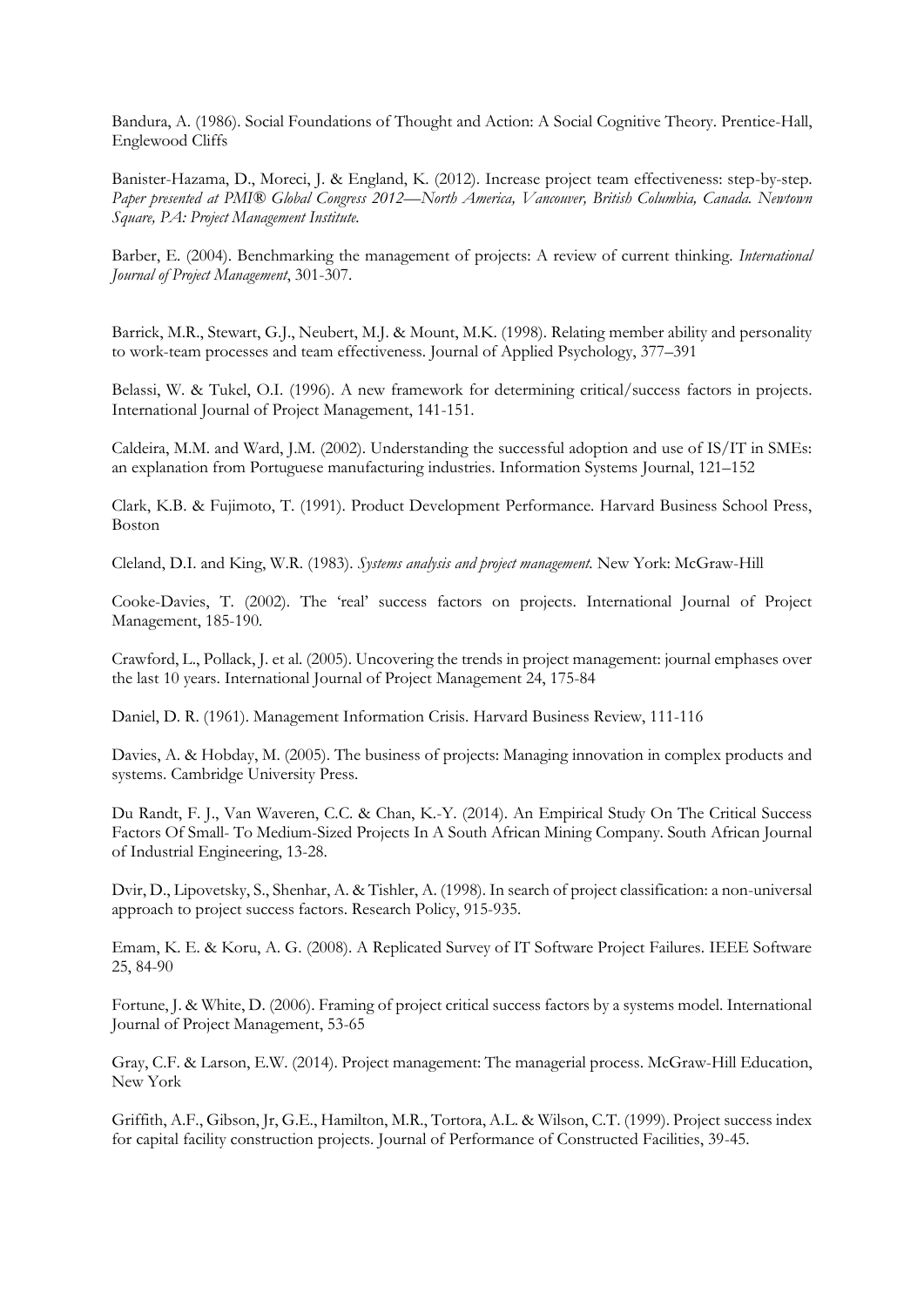Bandura, A. (1986). Social Foundations of Thought and Action: A Social Cognitive Theory. Prentice-Hall, Englewood Cliffs

Banister-Hazama, D., Moreci, J. & England, K. (2012). Increase project team effectiveness: step-by-step. *Paper presented at PMI® Global Congress 2012—North America, Vancouver, British Columbia, Canada. Newtown Square, PA: Project Management Institute.* 

Barber, E. (2004). Benchmarking the management of projects: A review of current thinking. *International Journal of Project Management*, 301-307.

Barrick, M.R., Stewart, G.J., Neubert, M.J. & Mount, M.K. (1998). Relating member ability and personality to work-team processes and team effectiveness. Journal of Applied Psychology, 377–391

Belassi, W. & Tukel, O.I. (1996). A new framework for determining critical/success factors in projects. International Journal of Project Management, 141-151.

Caldeira, M.M. and Ward, J.M. (2002). Understanding the successful adoption and use of IS/IT in SMEs: an explanation from Portuguese manufacturing industries. Information Systems Journal, 121–152

Clark, K.B. & Fujimoto, T. (1991). Product Development Performance. Harvard Business School Press, Boston

Cleland, D.I. and King, W.R. (1983). *Systems analysis and project management.* New York: McGraw-Hill

Cooke-Davies, T. (2002). The 'real' success factors on projects. International Journal of Project Management, 185-190.

Crawford, L., Pollack, J. et al. (2005). Uncovering the trends in project management: journal emphases over the last 10 years. International Journal of Project Management 24, 175-84

Daniel, D. R. (1961). Management Information Crisis. Harvard Business Review, 111-116

Davies, A. & Hobday, M. (2005). The business of projects: Managing innovation in complex products and systems. Cambridge University Press.

Du Randt, F. J., Van Waveren, C.C. & Chan, K.-Y. (2014). An Empirical Study On The Critical Success Factors Of Small- To Medium-Sized Projects In A South African Mining Company. South African Journal of Industrial Engineering, 13-28.

Dvir, D., Lipovetsky, S., Shenhar, A. & Tishler, A. (1998). In search of project classification: a non-universal approach to project success factors. Research Policy, 915-935.

Emam, K. E. & Koru, A. G. (2008). A Replicated Survey of IT Software Project Failures. IEEE Software 25, 84-90

Fortune, J. & White, D. (2006). Framing of project critical success factors by a systems model. International Journal of Project Management, 53-65

Gray, C.F. & Larson, E.W. (2014). Project management: The managerial process. McGraw-Hill Education, New York

Griffith, A.F., Gibson, Jr, G.E., Hamilton, M.R., Tortora, A.L. & Wilson, C.T. (1999). Project success index for capital facility construction projects. Journal of Performance of Constructed Facilities, 39-45.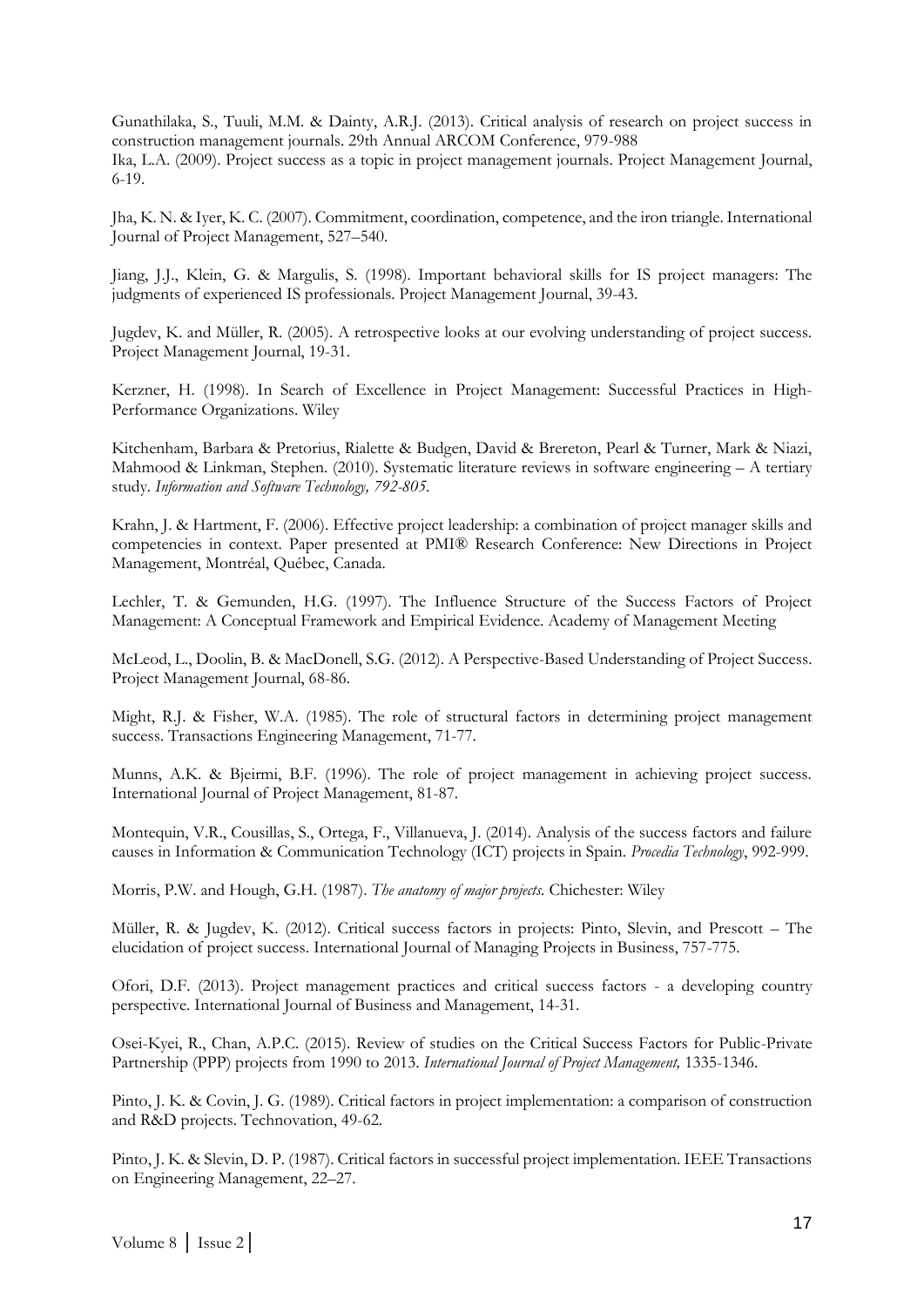Gunathilaka, S., Tuuli, M.M. & Dainty, A.R.J. (2013). Critical analysis of research on project success in construction management journals. 29th Annual ARCOM Conference, 979-988 Ika, L.A. (2009). Project success as a topic in project management journals. Project Management Journal, 6-19.

Jha, K. N. & Iyer, K. C. (2007). Commitment, coordination, competence, and the iron triangle. International Journal of Project Management, 527–540.

Jiang, J.J., Klein, G. & Margulis, S. (1998). Important behavioral skills for IS project managers: The judgments of experienced IS professionals. Project Management Journal, 39-43.

Jugdev, K. and Müller, R. (2005). A retrospective looks at our evolving understanding of project success. Project Management Journal, 19-31.

Kerzner, H. (1998). In Search of Excellence in Project Management: Successful Practices in High-Performance Organizations. Wiley

Kitchenham, Barbara & Pretorius, Rialette & Budgen, David & Brereton, Pearl & Turner, Mark & Niazi, Mahmood & Linkman, Stephen. (2010). Systematic literature reviews in software engineering – A tertiary study. *Information and Software Technology, 792-805.* 

Krahn, J. & Hartment, F. (2006). Effective project leadership: a combination of project manager skills and competencies in context. Paper presented at PMI® Research Conference: New Directions in Project Management, Montréal, Québec, Canada.

Lechler, T. & Gemunden, H.G. (1997). The Influence Structure of the Success Factors of Project Management: A Conceptual Framework and Empirical Evidence. Academy of Management Meeting

McLeod, L., Doolin, B. & MacDonell, S.G. (2012). A Perspective-Based Understanding of Project Success. Project Management Journal, 68-86.

Might, R.J. & Fisher, W.A. (1985). The role of structural factors in determining project management success. Transactions Engineering Management, 71-77.

Munns, A.K. & Bjeirmi, B.F. (1996). The role of project management in achieving project success. International Journal of Project Management, 81-87.

Montequin, V.R., Cousillas, S., Ortega, F., Villanueva, J. (2014). Analysis of the success factors and failure causes in Information & Communication Technology (ICT) projects in Spain. *Procedia Technology*, 992-999.

Morris, P.W. and Hough, G.H. (1987). *The anatomy of major projects.* Chichester: Wiley

Müller, R. & Jugdev, K. (2012). Critical success factors in projects: Pinto, Slevin, and Prescott – The elucidation of project success. International Journal of Managing Projects in Business, 757-775.

Ofori, D.F. (2013). Project management practices and critical success factors - a developing country perspective. International Journal of Business and Management, 14-31.

Osei-Kyei, R., Chan, A.P.C. (2015). Review of studies on the Critical Success Factors for Public-Private Partnership (PPP) projects from 1990 to 2013. *International Journal of Project Management,* 1335-1346.

Pinto, J. K. & Covin, J. G. (1989). Critical factors in project implementation: a comparison of construction and R&D projects. Technovation, 49-62.

Pinto, J. K. & Slevin, D. P. (1987). Critical factors in successful project implementation. IEEE Transactions on Engineering Management, 22–27.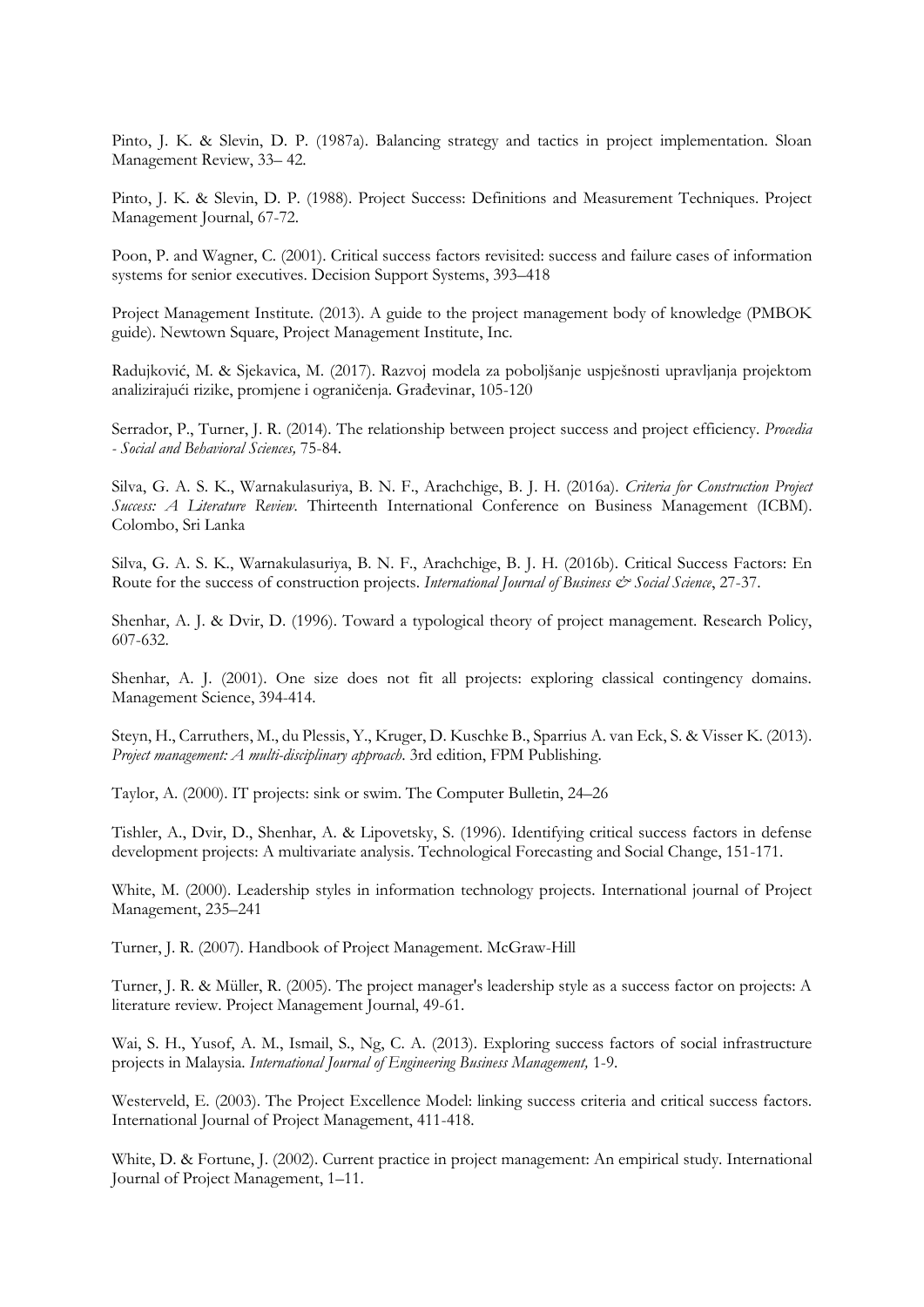Pinto, J. K. & Slevin, D. P. (1987a). Balancing strategy and tactics in project implementation. Sloan Management Review, 33– 42.

Pinto, J. K. & Slevin, D. P. (1988). Project Success: Definitions and Measurement Techniques. Project Management Journal, 67-72.

Poon, P. and Wagner, C. (2001). Critical success factors revisited: success and failure cases of information systems for senior executives. Decision Support Systems, 393–418

Project Management Institute. (2013). A guide to the project management body of knowledge (PMBOK guide). Newtown Square, Project Management Institute, Inc.

Radujković, M. & Sjekavica, M. (2017). Razvoj modela za poboljšanje uspješnosti upravljanja projektom analizirajući rizike, promjene i ograničenja. Građevinar, 105-120

Serrador, P., Turner, J. R. (2014). The relationship between project success and project efficiency. *Procedia - Social and Behavioral Sciences,* 75-84.

Silva, G. A. S. K., Warnakulasuriya, B. N. F., Arachchige, B. J. H. (2016a). *Criteria for Construction Project Success: A Literature Review.* Thirteenth International Conference on Business Management (ICBM). Colombo, Sri Lanka

Silva, G. A. S. K., Warnakulasuriya, B. N. F., Arachchige, B. J. H. (2016b). Critical Success Factors: En Route for the success of construction projects. *International Journal of Business & Social Science*, 27-37.

Shenhar, A. J. & Dvir, D. (1996). Toward a typological theory of project management. Research Policy, 607-632.

Shenhar, A. J. (2001). One size does not fit all projects: exploring classical contingency domains. Management Science, 394-414.

Steyn, H., Carruthers, M., du Plessis, Y., Kruger, D. Kuschke B., Sparrius A. van Eck, S. & Visser K. (2013). *Project management: A multi-disciplinary approach*. 3rd edition, FPM Publishing.

Taylor, A. (2000). IT projects: sink or swim. The Computer Bulletin, 24–26

Tishler, A., Dvir, D., Shenhar, A. & Lipovetsky, S. (1996). Identifying critical success factors in defense development projects: A multivariate analysis. Technological Forecasting and Social Change, 151-171.

White, M. (2000). Leadership styles in information technology projects. International journal of Project Management, 235–241

Turner, J. R. (2007). Handbook of Project Management. McGraw-Hill

Turner, J. R. & Müller, R. (2005). The project manager's leadership style as a success factor on projects: A literature review. Project Management Journal, 49-61.

Wai, S. H., Yusof, A. M., Ismail, S., Ng, C. A. (2013). Exploring success factors of social infrastructure projects in Malaysia. *International Journal of Engineering Business Management,* 1-9.

Westerveld, E. (2003). The Project Excellence Model: linking success criteria and critical success factors. International Journal of Project Management, 411-418.

White, D. & Fortune, J. (2002). Current practice in project management: An empirical study. International Journal of Project Management, 1–11.